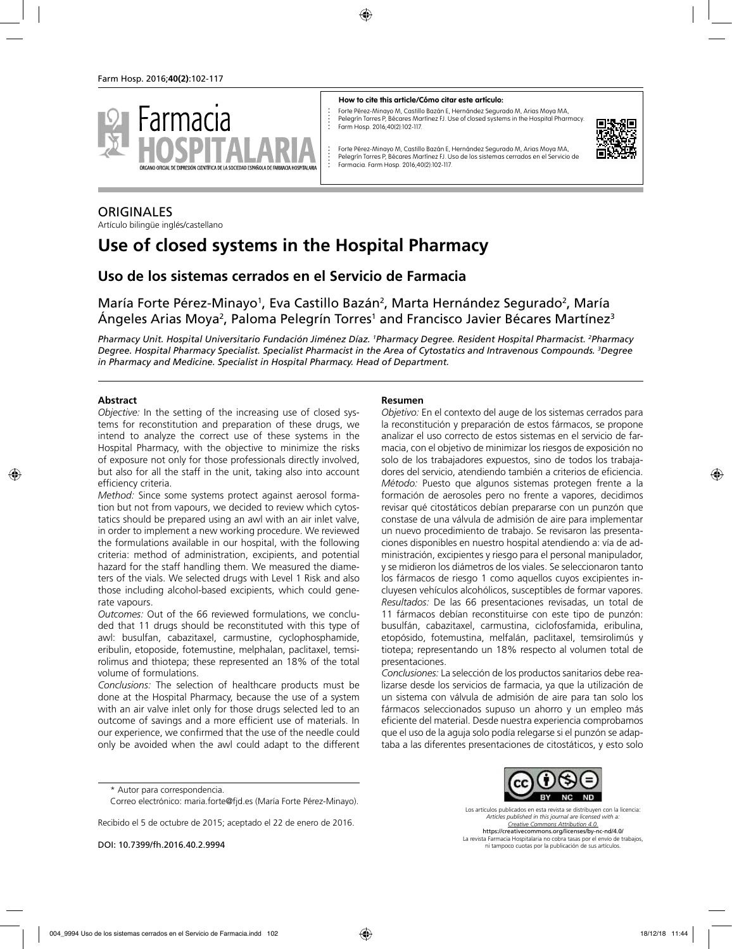

#### **How to cite this article/Cómo citar este artículo:**

Forte Pérez-Minayo M, Castillo Bazán E, Hernández Segurado M, Arias Moya MA, Pelegrín Torres P, Bécares Martínez FJ. Use of closed systems in the Hospital Pharmacy. Farm Hosp. 2016;40(2):102-117.



Forte Pérez-Minayo M, Castillo Bazán E, Hernández Segurado M, Arias Moya MA, Pelegrín Torres P, Bécares Martínez FJ. Uso de los sistemas cerrados en el Servicio de Farmacia. Farm Hosp. 2016;40(2):102-117.

# **ORIGINALES**

Artículo bilingüe inglés/castellano

# **Use of closed systems in the Hospital Pharmacy**

**Uso de los sistemas cerrados en el Servicio de Farmacia**

María Forte Pérez-Minayo<sup>1</sup>, Eva Castillo Bazán<sup>2</sup>, Marta Hernández Segurado<sup>2</sup>, María Ángeles Arias Moya<sup>2</sup>, Paloma Pelegrín Torres<sup>1</sup> and Francisco Javier Bécares Martínez<sup>3</sup>

*Pharmacy Unit. Hospital Universitario Fundación Jiménez Díaz. <sup>1</sup> Pharmacy Degree. Resident Hospital Pharmacist. 2 Pharmacy Degree. Hospital Pharmacy Specialist. Specialist Pharmacist in the Area of Cytostatics and Intravenous Compounds. 3 Degree in Pharmacy and Medicine. Specialist in Hospital Pharmacy. Head of Department.*

### **Abstract**

*Objective:* In the setting of the increasing use of closed systems for reconstitution and preparation of these drugs, we intend to analyze the correct use of these systems in the Hospital Pharmacy, with the objective to minimize the risks of exposure not only for those professionals directly involved, but also for all the staff in the unit, taking also into account efficiency criteria.

*Method:* Since some systems protect against aerosol formation but not from vapours, we decided to review which cytostatics should be prepared using an awl with an air inlet valve, in order to implement a new working procedure. We reviewed the formulations available in our hospital, with the following criteria: method of administration, excipients, and potential hazard for the staff handling them. We measured the diameters of the vials. We selected drugs with Level 1 Risk and also those including alcohol-based excipients, which could generate vapours.

*Outcomes:* Out of the 66 reviewed formulations, we concluded that 11 drugs should be reconstituted with this type of awl: busulfan, cabazitaxel, carmustine, cyclophosphamide, eribulin, etoposide, fotemustine, melphalan, paclitaxel, temsirolimus and thiotepa; these represented an 18% of the total volume of formulations.

*Conclusions:* The selection of healthcare products must be done at the Hospital Pharmacy, because the use of a system with an air valve inlet only for those drugs selected led to an outcome of savings and a more efficient use of materials. In our experience, we confirmed that the use of the needle could only be avoided when the awl could adapt to the different

#### **Resumen**

*Objetivo:* En el contexto del auge de los sistemas cerrados para la reconstitución y preparación de estos fármacos, se propone analizar el uso correcto de estos sistemas en el servicio de farmacia, con el objetivo de minimizar los riesgos de exposición no solo de los trabajadores expuestos, sino de todos los trabajadores del servicio, atendiendo también a criterios de eficiencia. *Método:* Puesto que algunos sistemas protegen frente a la formación de aerosoles pero no frente a vapores, decidimos revisar qué citostáticos debían prepararse con un punzón que constase de una válvula de admisión de aire para implementar un nuevo procedimiento de trabajo. Se revisaron las presentaciones disponibles en nuestro hospital atendiendo a: vía de administración, excipientes y riesgo para el personal manipulador, y se midieron los diámetros de los viales. Se seleccionaron tanto los fármacos de riesgo 1 como aquellos cuyos excipientes incluyesen vehículos alcohólicos, susceptibles de formar vapores. *Resultados:* De las 66 presentaciones revisadas, un total de 11 fármacos debían reconstituirse con este tipo de punzón: busulfán, cabazitaxel, carmustina, ciclofosfamida, eribulina, etopósido, fotemustina, melfalán, paclitaxel, temsirolimús y tiotepa; representando un 18% respecto al volumen total de presentaciones.

*Conclusiones:* La selección de los productos sanitarios debe realizarse desde los servicios de farmacia, ya que la utilización de un sistema con válvula de admisión de aire para tan solo los fármacos seleccionados supuso un ahorro y un empleo más eficiente del material. Desde nuestra experiencia comprobamos que el uso de la aguja solo podía relegarse si el punzón se adaptaba a las diferentes presentaciones de citostáticos, y esto solo

Recibido el 5 de octubre de 2015; aceptado el 22 de enero de 2016.



https://creativecommons.org/licenses/by-nc-nd/4.0/ La revista Farmacia Hospitalaria no cobra tasas por el envío de trabajos, ni tampoco cuotas por la publicación de sus artículos.

<sup>\*</sup> Autor para correspondencia.

Correo electrónico: maria.forte@fjd.es (María Forte Pérez-Minayo).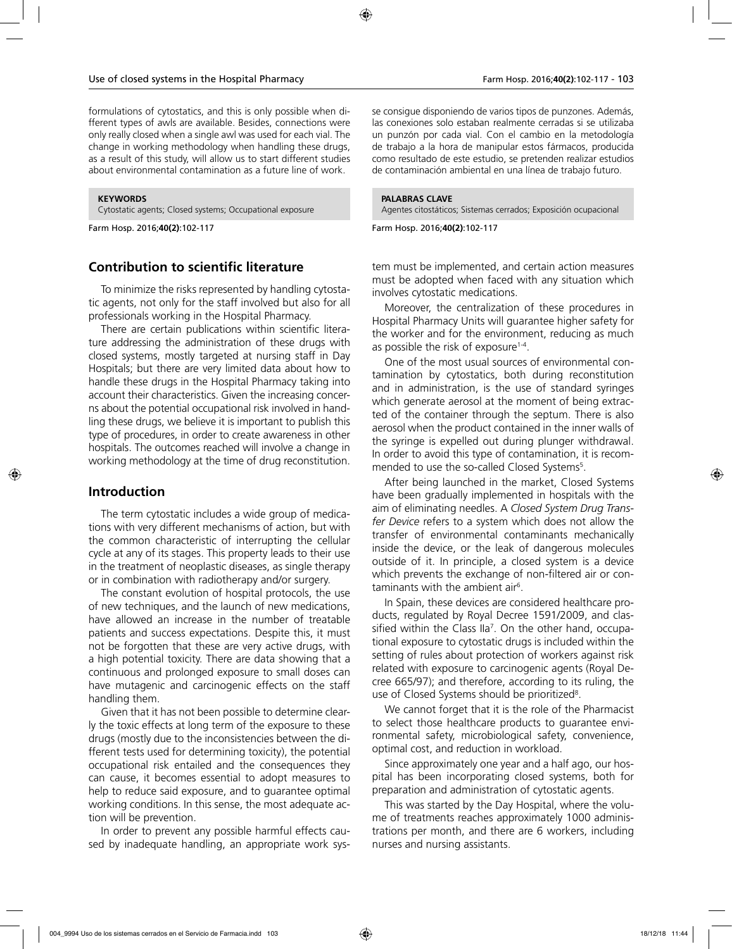formulations of cytostatics, and this is only possible when different types of awls are available. Besides, connections were only really closed when a single awl was used for each vial. The change in working methodology when handling these drugs, as a result of this study, will allow us to start different studies about environmental contamination as a future line of work.

#### **KEYWORDS**

Cytostatic agents; Closed systems; Occupational exposure

Farm Hosp. 2016;**40(2)**:102-117

# **Contribution to scientific literature**

To minimize the risks represented by handling cytostatic agents, not only for the staff involved but also for all professionals working in the Hospital Pharmacy.

There are certain publications within scientific literature addressing the administration of these drugs with closed systems, mostly targeted at nursing staff in Day Hospitals; but there are very limited data about how to handle these drugs in the Hospital Pharmacy taking into account their characteristics. Given the increasing concerns about the potential occupational risk involved in handling these drugs, we believe it is important to publish this type of procedures, in order to create awareness in other hospitals. The outcomes reached will involve a change in working methodology at the time of drug reconstitution.

## **Introduction**

The term cytostatic includes a wide group of medications with very different mechanisms of action, but with the common characteristic of interrupting the cellular cycle at any of its stages. This property leads to their use in the treatment of neoplastic diseases, as single therapy or in combination with radiotherapy and/or surgery.

The constant evolution of hospital protocols, the use of new techniques, and the launch of new medications, have allowed an increase in the number of treatable patients and success expectations. Despite this, it must not be forgotten that these are very active drugs, with a high potential toxicity. There are data showing that a continuous and prolonged exposure to small doses can have mutagenic and carcinogenic effects on the staff handling them.

Given that it has not been possible to determine clearly the toxic effects at long term of the exposure to these drugs (mostly due to the inconsistencies between the different tests used for determining toxicity), the potential occupational risk entailed and the consequences they can cause, it becomes essential to adopt measures to help to reduce said exposure, and to guarantee optimal working conditions. In this sense, the most adequate action will be prevention.

In order to prevent any possible harmful effects caused by inadequate handling, an appropriate work sys-

se consigue disponiendo de varios tipos de punzones. Además, las conexiones solo estaban realmente cerradas si se utilizaba un punzón por cada vial. Con el cambio en la metodología de trabajo a la hora de manipular estos fármacos, producida como resultado de este estudio, se pretenden realizar estudios de contaminación ambiental en una línea de trabajo futuro.

#### **PALABRAS CLAVE**

Agentes citostáticos; Sistemas cerrados; Exposición ocupacional

Farm Hosp. 2016;**40(2)**:102-117

tem must be implemented, and certain action measures must be adopted when faced with any situation which involves cytostatic medications.

Moreover, the centralization of these procedures in Hospital Pharmacy Units will guarantee higher safety for the worker and for the environment, reducing as much as possible the risk of exposure<sup>1-4</sup>.

One of the most usual sources of environmental contamination by cytostatics, both during reconstitution and in administration, is the use of standard syringes which generate aerosol at the moment of being extracted of the container through the septum. There is also aerosol when the product contained in the inner walls of the syringe is expelled out during plunger withdrawal. In order to avoid this type of contamination, it is recommended to use the so-called Closed Systems<sup>5</sup>.

After being launched in the market, Closed Systems have been gradually implemented in hospitals with the aim of eliminating needles. A *Closed System Drug Transfer Device* refers to a system which does not allow the transfer of environmental contaminants mechanically inside the device, or the leak of dangerous molecules outside of it. In principle, a closed system is a device which prevents the exchange of non-filtered air or contaminants with the ambient air<sup>6</sup>.

In Spain, these devices are considered healthcare products, regulated by Royal Decree 1591/2009, and classified within the Class IIa<sup>7</sup>. On the other hand, occupational exposure to cytostatic drugs is included within the setting of rules about protection of workers against risk related with exposure to carcinogenic agents (Royal Decree 665/97); and therefore, according to its ruling, the use of Closed Systems should be prioritized<sup>8</sup>.

We cannot forget that it is the role of the Pharmacist to select those healthcare products to guarantee environmental safety, microbiological safety, convenience, optimal cost, and reduction in workload.

Since approximately one year and a half ago, our hospital has been incorporating closed systems, both for preparation and administration of cytostatic agents.

This was started by the Day Hospital, where the volume of treatments reaches approximately 1000 administrations per month, and there are 6 workers, including nurses and nursing assistants.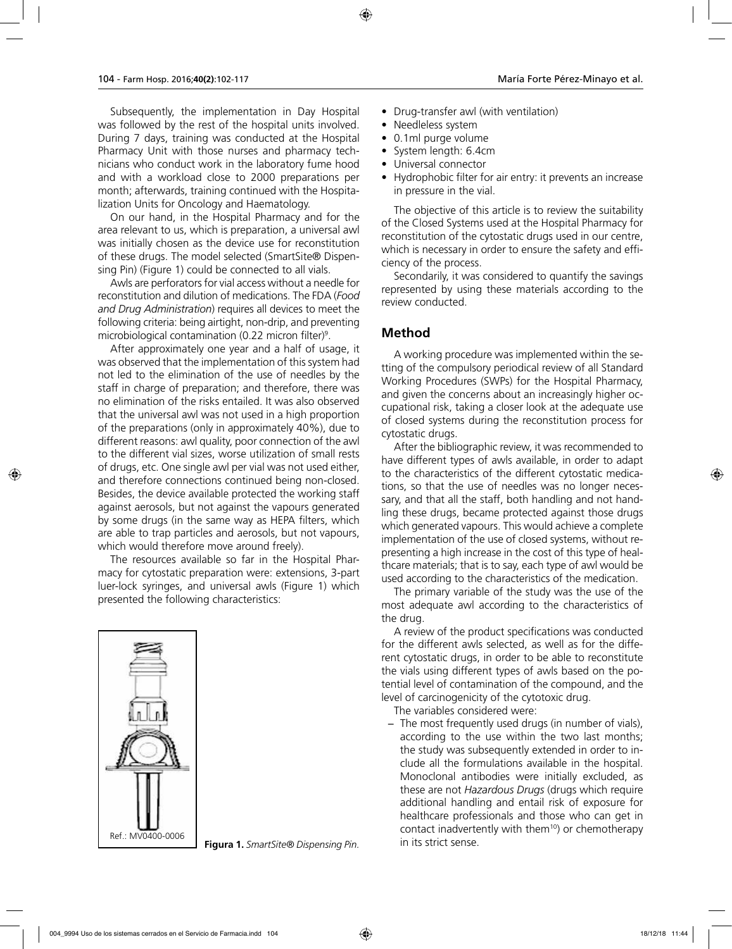Subsequently, the implementation in Day Hospital was followed by the rest of the hospital units involved. During 7 days, training was conducted at the Hospital Pharmacy Unit with those nurses and pharmacy technicians who conduct work in the laboratory fume hood and with a workload close to 2000 preparations per month; afterwards, training continued with the Hospitalization Units for Oncology and Haematology.

On our hand, in the Hospital Pharmacy and for the area relevant to us, which is preparation, a universal awl was initially chosen as the device use for reconstitution of these drugs. The model selected (SmartSite® Dispensing Pin) (Figure 1) could be connected to all vials.

Awls are perforators for vial access without a needle for reconstitution and dilution of medications. The FDA (*Food and Drug Administration*) requires all devices to meet the following criteria: being airtight, non-drip, and preventing microbiological contamination (0.22 micron filter)9 .

After approximately one year and a half of usage, it was observed that the implementation of this system had not led to the elimination of the use of needles by the staff in charge of preparation; and therefore, there was no elimination of the risks entailed. It was also observed that the universal awl was not used in a high proportion of the preparations (only in approximately 40%), due to different reasons: awl quality, poor connection of the awl to the different vial sizes, worse utilization of small rests of drugs, etc. One single awl per vial was not used either, and therefore connections continued being non-closed. Besides, the device available protected the working staff against aerosols, but not against the vapours generated by some drugs (in the same way as HEPA filters, which are able to trap particles and aerosols, but not vapours, which would therefore move around freely).

The resources available so far in the Hospital Pharmacy for cytostatic preparation were: extensions, 3-part luer-lock syringes, and universal awls (Figure 1) which presented the following characteristics:



Ref.: MV0400-0006 **Figura 1.** SmartSite® Dispensing Pin. **Example 20 Indian Property** Pine Constants and Ref.: MV0400-0006

- Drug-transfer awl (with ventilation)
- Needleless system
- 0.1ml purge volume
- System length: 6.4cm
- Universal connector
- Hydrophobic filter for air entry: it prevents an increase in pressure in the vial.

The objective of this article is to review the suitability of the Closed Systems used at the Hospital Pharmacy for reconstitution of the cytostatic drugs used in our centre, which is necessary in order to ensure the safety and efficiency of the process.

Secondarily, it was considered to quantify the savings represented by using these materials according to the review conducted.

# **Method**

A working procedure was implemented within the setting of the compulsory periodical review of all Standard Working Procedures (SWPs) for the Hospital Pharmacy, and given the concerns about an increasingly higher occupational risk, taking a closer look at the adequate use of closed systems during the reconstitution process for cytostatic drugs.

After the bibliographic review, it was recommended to have different types of awls available, in order to adapt to the characteristics of the different cytostatic medications, so that the use of needles was no longer necessary, and that all the staff, both handling and not handling these drugs, became protected against those drugs which generated vapours. This would achieve a complete implementation of the use of closed systems, without representing a high increase in the cost of this type of healthcare materials; that is to say, each type of awl would be used according to the characteristics of the medication.

The primary variable of the study was the use of the most adequate awl according to the characteristics of the drug.

A review of the product specifications was conducted for the different awls selected, as well as for the different cytostatic drugs, in order to be able to reconstitute the vials using different types of awls based on the potential level of contamination of the compound, and the level of carcinogenicity of the cytotoxic drug.

The variables considered were:

− The most frequently used drugs (in number of vials), according to the use within the two last months; the study was subsequently extended in order to include all the formulations available in the hospital. Monoclonal antibodies were initially excluded, as these are not *Hazardous Drugs* (drugs which require additional handling and entail risk of exposure for healthcare professionals and those who can get in contact inadvertently with them10) or chemotherapy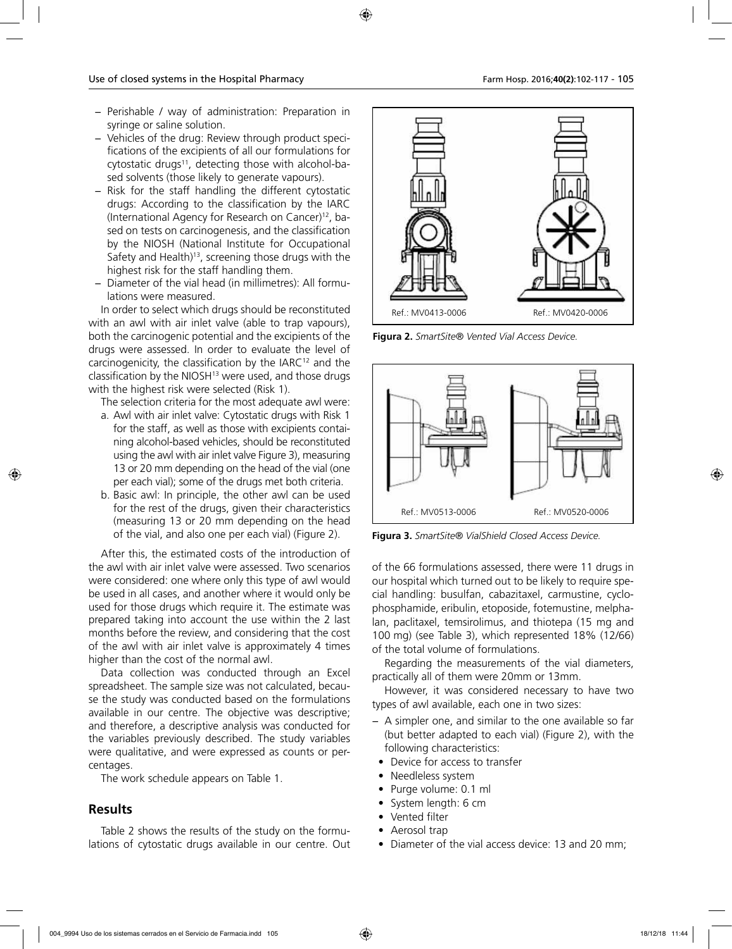- − Perishable / way of administration: Preparation in syringe or saline solution.
- − Vehicles of the drug: Review through product specifications of the excipients of all our formulations for cytostatic drugs<sup>11</sup>, detecting those with alcohol-based solvents (those likely to generate vapours).
- − Risk for the staff handling the different cytostatic drugs: According to the classification by the IARC (International Agency for Research on Cancer)12, based on tests on carcinogenesis, and the classification by the NIOSH (National Institute for Occupational Safety and Health)<sup>13</sup>, screening those drugs with the highest risk for the staff handling them.
- − Diameter of the vial head (in millimetres): All formulations were measured.

In order to select which drugs should be reconstituted with an awl with air inlet valve (able to trap vapours), both the carcinogenic potential and the excipients of the drugs were assessed. In order to evaluate the level of carcinogenicity, the classification by the IARC<sup>12</sup> and the classification by the NIOSH<sup>13</sup> were used, and those drugs with the highest risk were selected (Risk 1).

The selection criteria for the most adequate awl were:

- a. Awl with air inlet valve: Cytostatic drugs with Risk 1 for the staff, as well as those with excipients containing alcohol-based vehicles, should be reconstituted using the awl with air inlet valve Figure 3), measuring 13 or 20 mm depending on the head of the vial (one per each vial); some of the drugs met both criteria.
- b. Basic awl: In principle, the other awl can be used for the rest of the drugs, given their characteristics (measuring 13 or 20 mm depending on the head of the vial, and also one per each vial) (Figure 2).

After this, the estimated costs of the introduction of the awl with air inlet valve were assessed. Two scenarios were considered: one where only this type of awl would be used in all cases, and another where it would only be used for those drugs which require it. The estimate was prepared taking into account the use within the 2 last months before the review, and considering that the cost of the awl with air inlet valve is approximately 4 times higher than the cost of the normal awl.

Data collection was conducted through an Excel spreadsheet. The sample size was not calculated, because the study was conducted based on the formulations available in our centre. The objective was descriptive; and therefore, a descriptive analysis was conducted for the variables previously described. The study variables were qualitative, and were expressed as counts or percentages.

The work schedule appears on Table 1.

## **Results**

Table 2 shows the results of the study on the formulations of cytostatic drugs available in our centre. Out



**Figura 2.** *SmartSite® Vented Vial Access Device.*



**Figura 3.** *SmartSite® VialShield Closed Access Device.*

of the 66 formulations assessed, there were 11 drugs in our hospital which turned out to be likely to require special handling: busulfan, cabazitaxel, carmustine, cyclophosphamide, eribulin, etoposide, fotemustine, melphalan, paclitaxel, temsirolimus, and thiotepa (15 mg and 100 mg) (see Table 3), which represented 18% (12/66) of the total volume of formulations.

Regarding the measurements of the vial diameters, practically all of them were 20mm or 13mm.

However, it was considered necessary to have two types of awl available, each one in two sizes:

- − A simpler one, and similar to the one available so far (but better adapted to each vial) (Figure 2), with the following characteristics:
- Device for access to transfer
- Needleless system
- Purge volume: 0.1 ml
- System length: 6 cm
- Vented filter
- Aerosol trap
- Diameter of the vial access device: 13 and 20 mm;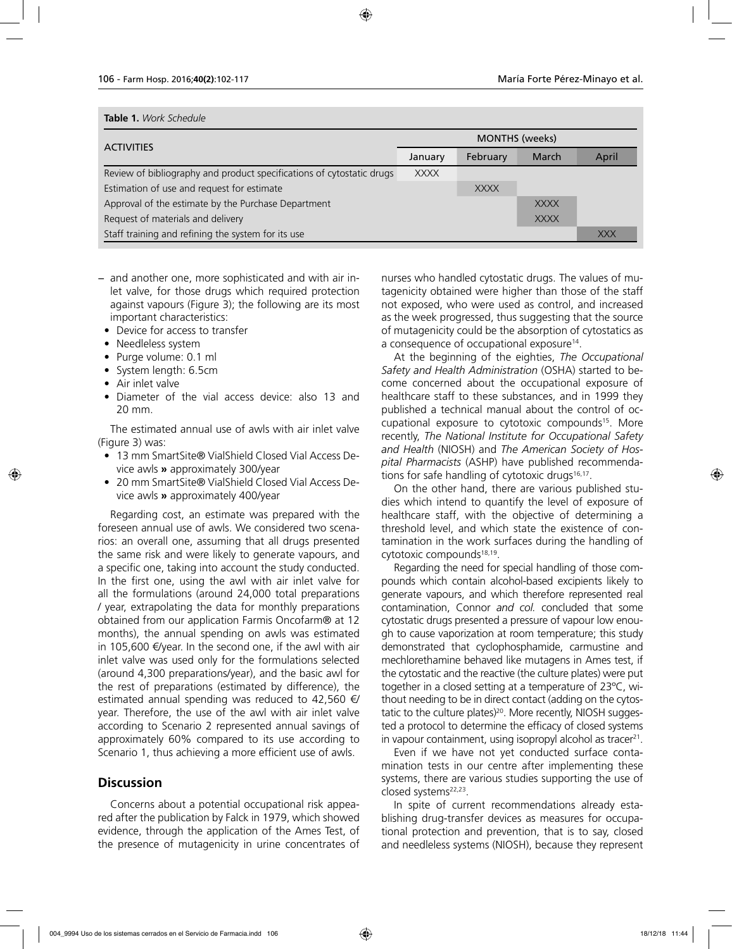### **Table 1.** *Work Schedule*

| <b>ACTIVITIES</b>                                                     | <b>MONTHS</b> (weeks) |             |             |            |
|-----------------------------------------------------------------------|-----------------------|-------------|-------------|------------|
|                                                                       | January               | February    | March       | April      |
| Review of bibliography and product specifications of cytostatic drugs | <b>XXXX</b>           |             |             |            |
| Estimation of use and request for estimate                            |                       | <b>XXXX</b> |             |            |
| Approval of the estimate by the Purchase Department                   |                       |             | <b>XXXX</b> |            |
| Request of materials and delivery                                     |                       |             | <b>XXXX</b> |            |
| Staff training and refining the system for its use                    |                       |             |             | <b>XXX</b> |

- − and another one, more sophisticated and with air inlet valve, for those drugs which required protection against vapours (Figure 3); the following are its most important characteristics:
	- Device for access to transfer
	- Needleless system
	- Purge volume: 0.1 ml
	- System length: 6.5cm
	- Air inlet valve
	- Diameter of the vial access device: also 13 and 20 mm.

The estimated annual use of awls with air inlet valve (Figure 3) was:

- 13 mm SmartSite® VialShield Closed Vial Access Device awls **»** approximately 300/year
- 20 mm SmartSite® VialShield Closed Vial Access Device awls **»** approximately 400/year

Regarding cost, an estimate was prepared with the foreseen annual use of awls. We considered two scenarios: an overall one, assuming that all drugs presented the same risk and were likely to generate vapours, and a specific one, taking into account the study conducted. In the first one, using the awl with air inlet valve for all the formulations (around 24,000 total preparations / year, extrapolating the data for monthly preparations obtained from our application Farmis Oncofarm® at 12 months), the annual spending on awls was estimated in 105,600 €/year. In the second one, if the awl with air inlet valve was used only for the formulations selected (around 4,300 preparations/year), and the basic awl for the rest of preparations (estimated by difference), the estimated annual spending was reduced to 42,560  $\epsilon$ year. Therefore, the use of the awl with air inlet valve according to Scenario 2 represented annual savings of approximately 60% compared to its use according to Scenario 1, thus achieving a more efficient use of awls.

## **Discussion**

Concerns about a potential occupational risk appeared after the publication by Falck in 1979, which showed evidence, through the application of the Ames Test, of the presence of mutagenicity in urine concentrates of nurses who handled cytostatic drugs. The values of mutagenicity obtained were higher than those of the staff not exposed, who were used as control, and increased as the week progressed, thus suggesting that the source of mutagenicity could be the absorption of cytostatics as a consequence of occupational exposure<sup>14</sup>.

At the beginning of the eighties, *The Occupational Safety and Health Administration* (OSHA) started to become concerned about the occupational exposure of healthcare staff to these substances, and in 1999 they published a technical manual about the control of occupational exposure to cytotoxic compounds<sup>15</sup>. More recently, *The National Institute for Occupational Safety and Health* (NIOSH) and *The American Society of Hospital Pharmacists* (ASHP) have published recommendations for safe handling of cytotoxic drugs $16,17$ .

On the other hand, there are various published studies which intend to quantify the level of exposure of healthcare staff, with the objective of determining a threshold level, and which state the existence of contamination in the work surfaces during the handling of cytotoxic compounds<sup>18,19</sup>.

Regarding the need for special handling of those compounds which contain alcohol-based excipients likely to generate vapours, and which therefore represented real contamination, Connor *and col.* concluded that some cytostatic drugs presented a pressure of vapour low enough to cause vaporization at room temperature; this study demonstrated that cyclophosphamide, carmustine and mechlorethamine behaved like mutagens in Ames test, if the cytostatic and the reactive (the culture plates) were put together in a closed setting at a temperature of 23ºC, without needing to be in direct contact (adding on the cytostatic to the culture plates)<sup>20</sup>. More recently, NIOSH suggested a protocol to determine the efficacy of closed systems in vapour containment, using isopropyl alcohol as tracer<sup>21</sup>.

Even if we have not yet conducted surface contamination tests in our centre after implementing these systems, there are various studies supporting the use of closed systems<sup>22,23</sup>.

In spite of current recommendations already establishing drug-transfer devices as measures for occupational protection and prevention, that is to say, closed and needleless systems (NIOSH), because they represent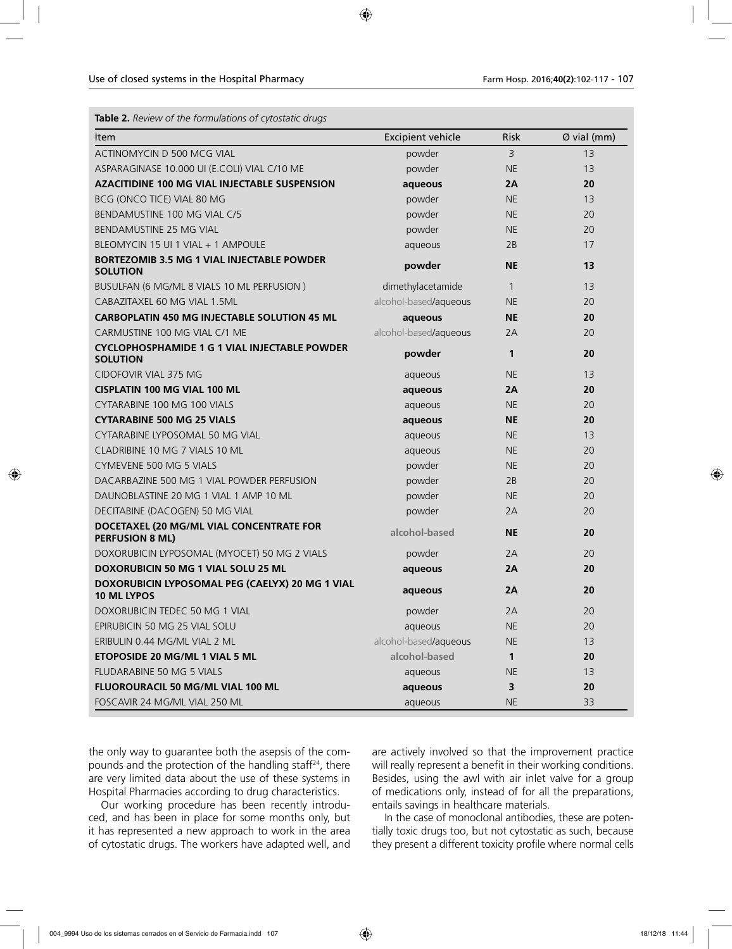| <b>Table 2.</b> Review of the formulations of cytostatic drugs |  |
|----------------------------------------------------------------|--|
|----------------------------------------------------------------|--|

| Item                                                                    | <b>Excipient vehicle</b> | <b>Risk</b>  | Ø vial (mm) |
|-------------------------------------------------------------------------|--------------------------|--------------|-------------|
| ACTINOMYCIN D 500 MCG VIAL                                              | powder                   | 3            | 13          |
| ASPARAGINASE 10.000 UI (E.COLI) VIAL C/10 ME                            | powder                   | <b>NE</b>    | 13          |
| <b>AZACITIDINE 100 MG VIAL INJECTABLE SUSPENSION</b>                    | aqueous                  | 2A           | 20          |
| BCG (ONCO TICE) VIAL 80 MG                                              | powder                   | <b>NE</b>    | 13          |
| BENDAMUSTINE 100 MG VIAL C/5                                            | powder                   | <b>NE</b>    | 20          |
| <b>BENDAMUSTINE 25 MG VIAL</b>                                          | powder                   | <b>NE</b>    | 20          |
| BLEOMYCIN 15 UI 1 VIAL + 1 AMPOULE                                      | aqueous                  | 2B           | 17          |
| <b>BORTEZOMIB 3.5 MG 1 VIAL INJECTABLE POWDER</b><br><b>SOLUTION</b>    | powder                   | <b>NE</b>    | 13          |
| BUSULFAN (6 MG/ML 8 VIALS 10 ML PERFUSION)                              | dimethylacetamide        | $\mathbf{1}$ | 13          |
| CABAZITAXEL 60 MG VIAL 1.5ML                                            | alcohol-based/aqueous    | <b>NE</b>    | 20          |
| <b>CARBOPLATIN 450 MG INJECTABLE SOLUTION 45 ML</b>                     | aqueous                  | <b>NE</b>    | 20          |
| CARMUSTINE 100 MG VIAL C/1 ME                                           | alcohol-based/aqueous    | 2A           | 20          |
| <b>CYCLOPHOSPHAMIDE 1 G 1 VIAL INJECTABLE POWDER</b><br><b>SOLUTION</b> | powder                   | 1            | 20          |
| <b>CIDOFOVIR VIAL 375 MG</b>                                            | aqueous                  | <b>NE</b>    | 13          |
| <b>CISPLATIN 100 MG VIAL 100 ML</b>                                     | aqueous                  | 2A           | 20          |
| CYTARABINE 100 MG 100 VIALS                                             | aqueous                  | <b>NE</b>    | 20          |
| <b>CYTARABINE 500 MG 25 VIALS</b>                                       | aqueous                  | <b>NE</b>    | 20          |
| CYTARABINE LYPOSOMAL 50 MG VIAL                                         | aqueous                  | <b>NE</b>    | 13          |
| CLADRIBINE 10 MG 7 VIALS 10 ML                                          | aqueous                  | <b>NE</b>    | 20          |
| CYMEVENE 500 MG 5 VIALS                                                 | powder                   | <b>NE</b>    | 20          |
| DACARBAZINE 500 MG 1 VIAL POWDER PERFUSION                              | powder                   | 2B           | 20          |
| DAUNOBLASTINE 20 MG 1 VIAL 1 AMP 10 ML                                  | powder                   | <b>NE</b>    | 20          |
| DECITABINE (DACOGEN) 50 MG VIAL                                         | powder                   | 2A           | 20          |
| DOCETAXEL (20 MG/ML VIAL CONCENTRATE FOR<br><b>PERFUSION 8 ML)</b>      | alcohol-based            | <b>NE</b>    | 20          |
| DOXORUBICIN LYPOSOMAL (MYOCET) 50 MG 2 VIALS                            | powder                   | 2A           | 20          |
| DOXORUBICIN 50 MG 1 VIAL SOLU 25 ML                                     | aqueous                  | 2A           | 20          |
| DOXORUBICIN LYPOSOMAL PEG (CAELYX) 20 MG 1 VIAL<br><b>10 ML LYPOS</b>   | aqueous                  | 2A           | 20          |
| DOXORUBICIN TEDEC 50 MG 1 VIAL                                          | powder                   | 2A           | 20          |
| EPIRUBICIN 50 MG 25 VIAL SOLU                                           | aqueous                  | <b>NE</b>    | 20          |
| ERIBULIN 0.44 MG/ML VIAL 2 ML                                           | alcohol-based/aqueous    | <b>NE</b>    | 13          |
| ETOPOSIDE 20 MG/ML 1 VIAL 5 ML                                          | alcohol-based            | $\mathbf{1}$ | 20          |
| <b>FLUDARABINE 50 MG 5 VIALS</b>                                        | aqueous                  | <b>NE</b>    | 13          |
| FLUOROURACIL 50 MG/ML VIAL 100 ML                                       | aqueous                  | 3            | 20          |
| FOSCAVIR 24 MG/ML VIAL 250 ML                                           | aqueous                  | <b>NE</b>    | 33          |

the only way to guarantee both the asepsis of the compounds and the protection of the handling staff<sup>24</sup>, there are very limited data about the use of these systems in Hospital Pharmacies according to drug characteristics.

Our working procedure has been recently introduced, and has been in place for some months only, but it has represented a new approach to work in the area of cytostatic drugs. The workers have adapted well, and

are actively involved so that the improvement practice will really represent a benefit in their working conditions. Besides, using the awl with air inlet valve for a group of medications only, instead of for all the preparations, entails savings in healthcare materials.

In the case of monoclonal antibodies, these are potentially toxic drugs too, but not cytostatic as such, because they present a different toxicity profile where normal cells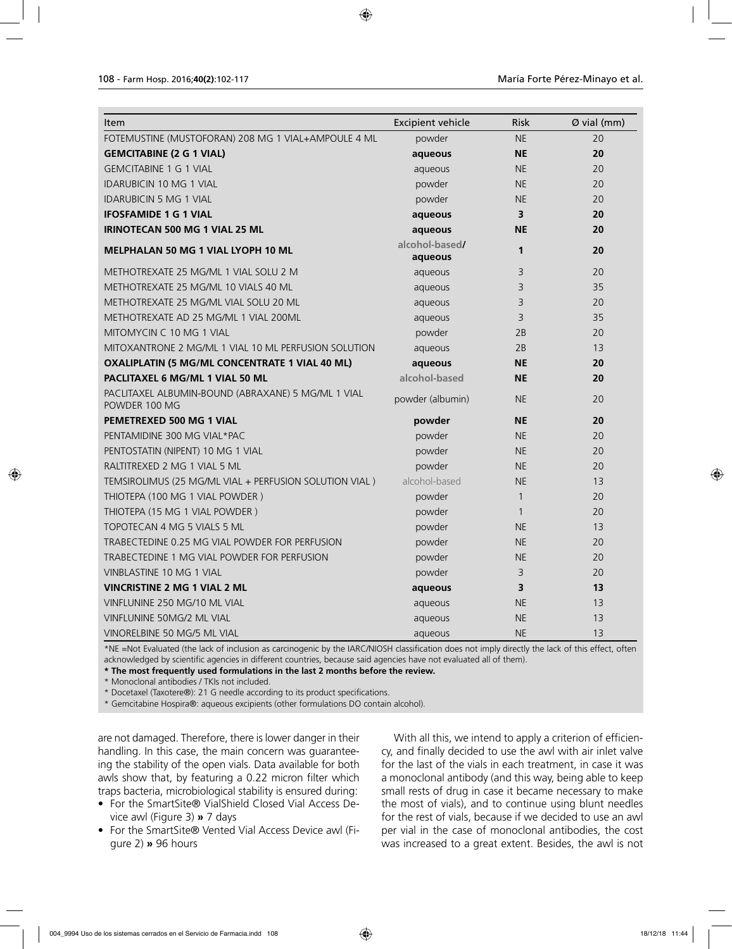| Item                                                                | <b>Excipient vehicle</b>  | <b>Risk</b>  | Ø vial (mm) |
|---------------------------------------------------------------------|---------------------------|--------------|-------------|
| FOTEMUSTINE (MUSTOFORAN) 208 MG 1 VIAL+AMPOULE 4 ML                 | powder                    | <b>NE</b>    | 20          |
| <b>GEMCITABINE (2 G 1 VIAL)</b>                                     | aqueous                   | <b>NE</b>    | 20          |
| <b>GEMCITABINE 1 G 1 VIAL</b>                                       | aqueous                   | <b>NE</b>    | 20          |
| <b>IDARUBICIN 10 MG 1 VIAL</b>                                      | powder                    | <b>NE</b>    | 20          |
| <b>IDARUBICIN 5 MG 1 VIAL</b>                                       | powder                    | <b>NE</b>    | 20          |
| <b>IFOSFAMIDE 1 G 1 VIAL</b>                                        | aqueous                   | 3            | 20          |
| IRINOTECAN 500 MG 1 VIAL 25 ML                                      | aqueous                   | <b>NE</b>    | 20          |
| <b>MELPHALAN 50 MG 1 VIAL LYOPH 10 ML</b>                           | alcohol-based/<br>aqueous | 1            | 20          |
| METHOTREXATE 25 MG/ML 1 VIAL SOLU 2 M                               | aqueous                   | 3            | 20          |
| METHOTREXATE 25 MG/ML 10 VIALS 40 ML                                | aqueous                   | 3            | 35          |
| METHOTREXATE 25 MG/ML VIAL SOLU 20 ML                               | aqueous                   | 3            | 20          |
| METHOTREXATE AD 25 MG/ML 1 VIAL 200ML                               | aqueous                   | 3            | 35          |
| MITOMYCIN C 10 MG 1 VIAL                                            | powder                    | 2B           | 20          |
| MITOXANTRONE 2 MG/ML 1 VIAL 10 ML PERFUSION SOLUTION                | aqueous                   | 2B           | 13          |
| OXALIPLATIN (5 MG/ML CONCENTRATE 1 VIAL 40 ML)                      | aqueous                   | <b>NE</b>    | 20          |
| PACLITAXEL 6 MG/ML 1 VIAL 50 ML                                     | alcohol-based             | <b>NE</b>    | 20          |
| PACLITAXEL ALBUMIN-BOUND (ABRAXANE) 5 MG/ML 1 VIAL<br>POWDER 100 MG | powder (albumin)          | <b>NE</b>    | 20          |
| <b>PEMETREXED 500 MG 1 VIAL</b>                                     | powder                    | <b>NE</b>    | 20          |
| PENTAMIDINE 300 MG VIAL*PAC                                         | powder                    | <b>NE</b>    | 20          |
| PENTOSTATIN (NIPENT) 10 MG 1 VIAL                                   | powder                    | <b>NE</b>    | 20          |
| RALTITREXED 2 MG 1 VIAL 5 ML                                        | powder                    | <b>NE</b>    | 20          |
| TEMSIROLIMUS (25 MG/ML VIAL + PERFUSION SOLUTION VIAL)              | alcohol-based             | <b>NE</b>    | 13          |
| THIOTEPA (100 MG 1 VIAL POWDER)                                     | powder                    | $\mathbf{1}$ | 20          |
| THIOTEPA (15 MG 1 VIAL POWDER)                                      | powder                    | $\mathbf{1}$ | 20          |
| TOPOTECAN 4 MG 5 VIALS 5 ML                                         | powder                    | <b>NE</b>    | 13          |
| TRABECTEDINE 0.25 MG VIAL POWDER FOR PERFUSION                      | powder                    | <b>NE</b>    | 20          |
| TRABECTEDINE 1 MG VIAL POWDER FOR PERFUSION                         | powder                    | <b>NE</b>    | 20          |
| VINBLASTINE 10 MG 1 VIAL                                            | powder                    | 3            | 20          |
| <b>VINCRISTINE 2 MG 1 VIAL 2 ML</b>                                 | aqueous                   | 3            | 13          |
| VINFLUNINE 250 MG/10 ML VIAL                                        | aqueous                   | <b>NE</b>    | 13          |
| VINFLUNINE 50MG/2 ML VIAL                                           | aqueous                   | <b>NE</b>    | 13          |
| VINORELBINE 50 MG/5 ML VIAL                                         | aqueous                   | <b>NE</b>    | 13          |

\*NE =Not Evaluated (the lack of inclusion as carcinogenic by the IARC/NIOSH classification does not imply directly the lack of this effect, often acknowledged by scientific agencies in different countries, because said agencies have not evaluated all of them).

**\* The most frequently used formulations in the last 2 months before the review.** 

\* Monoclonal antibodies / TKIs not included.

\* Docetaxel (Taxotere®): 21 G needle according to its product specifications.

\* Gemcitabine Hospira®: aqueous excipients (other formulations DO contain alcohol).

are not damaged. Therefore, there is lower danger in their handling. In this case, the main concern was guaranteeing the stability of the open vials. Data available for both awls show that, by featuring a 0.22 micron filter which traps bacteria, microbiological stability is ensured during:

- For the SmartSite® VialShield Closed Vial Access Device awl (Figure 3) **»** 7 days
- For the SmartSite® Vented Vial Access Device awl (Figure 2) **»** 96 hours

With all this, we intend to apply a criterion of efficiency, and finally decided to use the awl with air inlet valve for the last of the vials in each treatment, in case it was a monoclonal antibody (and this way, being able to keep small rests of drug in case it became necessary to make the most of vials), and to continue using blunt needles for the rest of vials, because if we decided to use an awl per vial in the case of monoclonal antibodies, the cost was increased to a great extent. Besides, the awl is not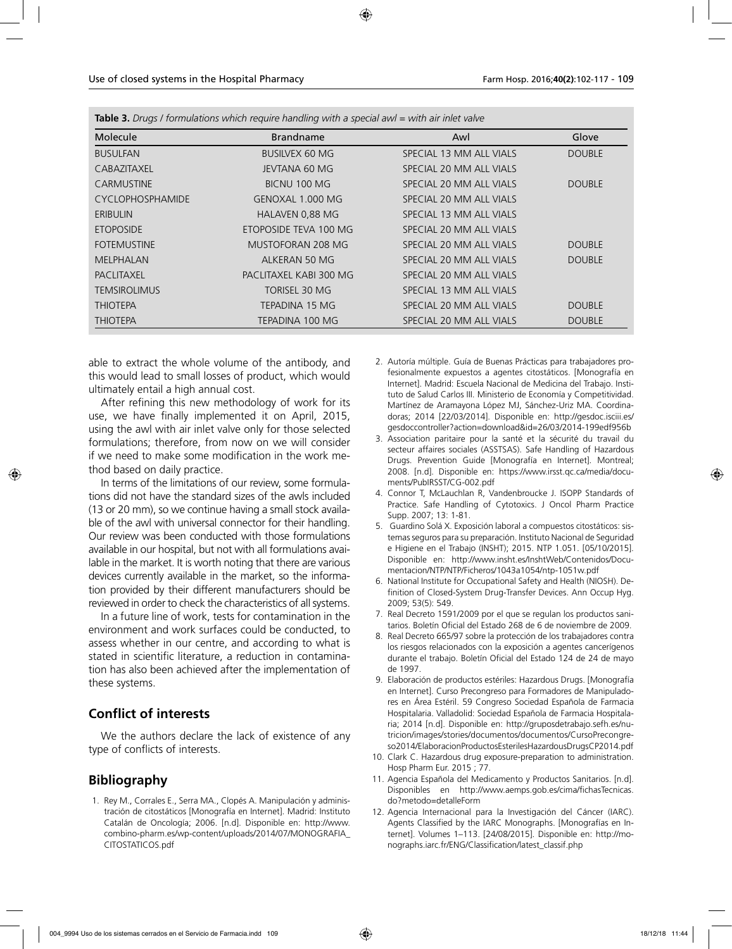| Molecule                | <b>Brandname</b>       | Awl                     | Glove         |
|-------------------------|------------------------|-------------------------|---------------|
| <b>BUSULFAN</b>         | <b>BUSILVEX 60 MG</b>  | SPECIAL 13 MM ALL VIALS | <b>DOUBLE</b> |
| <b>CABAZITAXEL</b>      | JEVTANA 60 MG          | SPECIAL 20 MM ALL VIALS |               |
| <b>CARMUSTINE</b>       | BICNU 100 MG           | SPECIAL 20 MM ALL VIALS | <b>DOUBLE</b> |
| <b>CYCLOPHOSPHAMIDE</b> | GENOXAL 1.000 MG       | SPECIAL 20 MM ALL VIALS |               |
| <b>ERIBULIN</b>         | HALAVEN 0,88 MG        | SPECIAL 13 MM ALL VIALS |               |
| <b>ETOPOSIDE</b>        | ETOPOSIDE TEVA 100 MG  | SPECIAL 20 MM ALL VIALS |               |
| <b>FOTEMUSTINE</b>      | MUSTOFORAN 208 MG      | SPECIAL 20 MM ALL VIALS | <b>DOUBLE</b> |
| <b>MELPHALAN</b>        | ALKERAN 50 MG          | SPECIAL 20 MM ALL VIALS | <b>DOUBLE</b> |
| <b>PACLITAXEL</b>       | PACLITAXEL KABI 300 MG | SPECIAL 20 MM ALL VIALS |               |
| <b>TEMSIROLIMUS</b>     | TORISEL 30 MG          | SPECIAL 13 MM ALL VIALS |               |
| <b>THIOTEPA</b>         | TEPADINA 15 MG         | SPECIAL 20 MM ALL VIALS | <b>DOUBLE</b> |
| <b>THIOTEPA</b>         | TEPADINA 100 MG        | SPECIAL 20 MM ALL VIALS | <b>DOUBLE</b> |

**Table 3.** *Drugs / formulations which require handling with a special awl = with air inlet valve* 

able to extract the whole volume of the antibody, and this would lead to small losses of product, which would ultimately entail a high annual cost.

After refining this new methodology of work for its use, we have finally implemented it on April, 2015, using the awl with air inlet valve only for those selected formulations; therefore, from now on we will consider if we need to make some modification in the work method based on daily practice.

In terms of the limitations of our review, some formulations did not have the standard sizes of the awls included (13 or 20 mm), so we continue having a small stock available of the awl with universal connector for their handling. Our review was been conducted with those formulations available in our hospital, but not with all formulations available in the market. It is worth noting that there are various devices currently available in the market, so the information provided by their different manufacturers should be reviewed in order to check the characteristics of all systems.

In a future line of work, tests for contamination in the environment and work surfaces could be conducted, to assess whether in our centre, and according to what is stated in scientific literature, a reduction in contamination has also been achieved after the implementation of these systems.

# **Conflict of interests**

We the authors declare the lack of existence of any type of conflicts of interests.

# **Bibliography**

1. Rey M., Corrales E., Serra MA., Clopés A. Manipulación y administración de citostáticos [Monografía en Internet]. Madrid: Instituto Catalán de Oncología; 2006. [n.d]. Disponible en: http://www. combino-pharm.es/wp-content/uploads/2014/07/MONOGRAFIA\_ CITOSTATICOS.pdf

- 2. Autoría múltiple. Guía de Buenas Prácticas para trabajadores profesionalmente expuestos a agentes citostáticos. [Monografía en Internet]. Madrid: Escuela Nacional de Medicina del Trabajo. Instituto de Salud Carlos III. Ministerio de Economía y Competitividad. Martínez de Aramayona López MJ, Sánchez-Uriz MA. Coordinadoras; 2014 [22/03/2014]. Disponible en: http://gesdoc.isciii.es/ gesdoccontroller?action=download&id=26/03/2014-199edf956b
- 3. Association paritaire pour la santé et la sécurité du travail du secteur affaires sociales (ASSTSAS). Safe Handling of Hazardous Drugs. Prevention Guide [Monografía en Internet]. Montreal; 2008. [n.d]. Disponible en: https://www.irsst.qc.ca/media/documents/PubIRSST/CG-002.pdf
- 4. Connor T, McLauchlan R, Vandenbroucke J. ISOPP Standards of Practice. Safe Handling of Cytotoxics. J Oncol Pharm Practice Supp. 2007; 13: 1-81.
- 5. Guardino Solá X. Exposición laboral a compuestos citostáticos: sistemas seguros para su preparación. Instituto Nacional de Seguridad e Higiene en el Trabajo (INSHT); 2015. NTP 1.051. [05/10/2015]. Disponible en: http://www.insht.es/InshtWeb/Contenidos/Documentacion/NTP/NTP/Ficheros/1043a1054/ntp-1051w.pdf
- 6. National Institute for Occupational Safety and Health (NIOSH). Definition of Closed-System Drug-Transfer Devices. Ann Occup Hyg. 2009; 53(5): 549.
- 7. Real Decreto 1591/2009 por el que se regulan los productos sanitarios. Boletín Oficial del Estado 268 de 6 de noviembre de 2009.
- 8. Real Decreto 665/97 sobre la protección de los trabajadores contra los riesgos relacionados con la exposición a agentes cancerígenos durante el trabajo. Boletín Oficial del Estado 124 de 24 de mayo de 1997.
- 9. Elaboración de productos estériles: Hazardous Drugs. [Monografía en Internet]. Curso Precongreso para Formadores de Manipuladores en Área Estéril. 59 Congreso Sociedad Española de Farmacia Hospitalaria. Valladolid: Sociedad Española de Farmacia Hospitalaria; 2014 [n.d]. Disponible en: http://gruposdetrabajo.sefh.es/nutricion/images/stories/documentos/documentos/CursoPrecongreso2014/ElaboracionProductosEsterilesHazardousDrugsCP2014.pdf
- 10. Clark C. Hazardous drug exposure-preparation to administration. Hosp Pharm Eur. 2015 ; 77.
- 11. Agencia Española del Medicamento y Productos Sanitarios. [n.d]. Disponibles en http://www.aemps.gob.es/cima/fichasTecnicas. do?metodo=detalleForm
- 12. Agencia Internacional para la Investigación del Cáncer (IARC). Agents Classified by the IARC Monographs. [Monografías en Internet]. Volumes 1–113. [24/08/2015]. Disponible en: http://monographs.iarc.fr/ENG/Classification/latest\_classif.php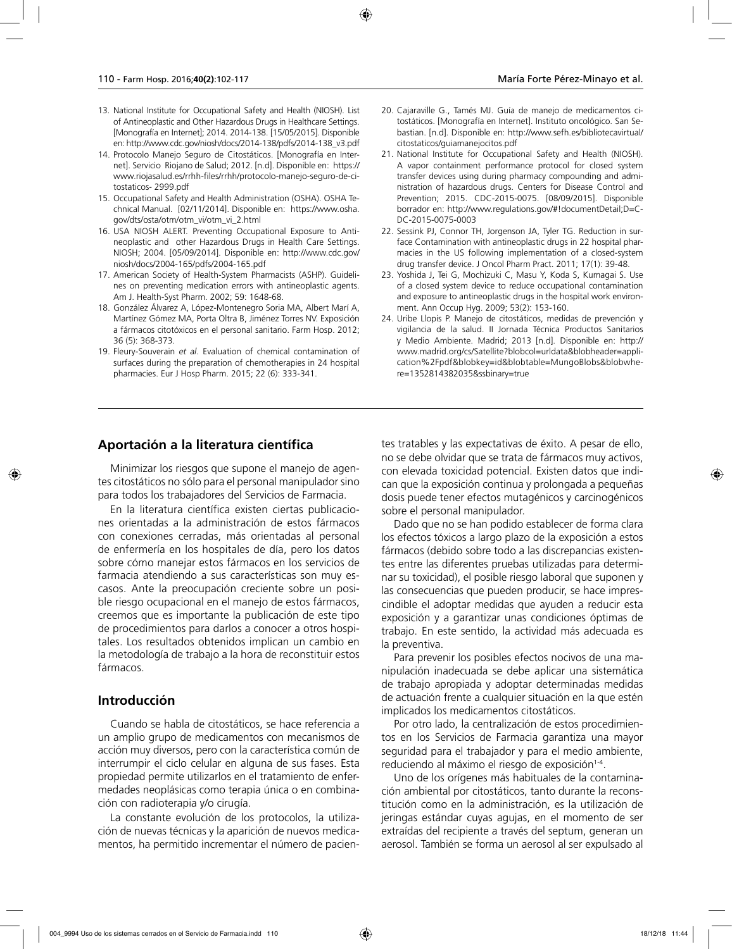- 13. National Institute for Occupational Safety and Health (NIOSH). List of Antineoplastic and Other Hazardous Drugs in Healthcare Settings. [Monografía en Internet]; 2014. 2014-138. [15/05/2015]. Disponible en: http://www.cdc.gov/niosh/docs/2014-138/pdfs/2014-138\_v3.pdf
- 14. Protocolo Manejo Seguro de Citostáticos. [Monografía en Internet]. Servicio Riojano de Salud; 2012. [n.d]. Disponible en: https:// www.riojasalud.es/rrhh-files/rrhh/protocolo-manejo-seguro-de-citostaticos- 2999.pdf
- 15. Occupational Safety and Health Administration (OSHA). OSHA Technical Manual. [02/11/2014]. Disponible en: https://www.osha. gov/dts/osta/otm/otm\_vi/otm\_vi\_2.html
- 16. USA NIOSH ALERT. Preventing Occupational Exposure to Antineoplastic and other Hazardous Drugs in Health Care Settings. NIOSH; 2004. [05/09/2014]. Disponible en: http://www.cdc.gov/ niosh/docs/2004-165/pdfs/2004-165.pdf
- 17. American Society of Health-System Pharmacists (ASHP). Guidelines on preventing medication errors with antineoplastic agents. Am J. Health-Syst Pharm. 2002; 59: 1648-68.
- 18. González Álvarez A, López-Montenegro Soria MA, Albert Marí A, Martínez Gómez MA, Porta Oltra B, Jiménez Torres NV. Exposición a fármacos citotóxicos en el personal sanitario. Farm Hosp. 2012; 36 (5): 368-373.
- 19. Fleury-Souverain *et al*. Evaluation of chemical contamination of surfaces during the preparation of chemotherapies in 24 hospital pharmacies. Eur J Hosp Pharm. 2015; 22 (6): 333-341.
- 20. Cajaraville G., Tamés MJ. Guía de manejo de medicamentos citostáticos. [Monografía en Internet]. Instituto oncológico. San Sebastian. [n.d]. Disponible en: http://www.sefh.es/bibliotecavirtual/ citostaticos/guiamanejocitos.pdf
- 21. National Institute for Occupational Safety and Health (NIOSH). A vapor containment performance protocol for closed system transfer devices using during pharmacy compounding and administration of hazardous drugs. Centers for Disease Control and Prevention; 2015. CDC-2015-0075. [08/09/2015]. Disponible borrador en: http://www.regulations.gov/#!documentDetail;D=C-DC-2015-0075-0003
- 22. Sessink PJ, Connor TH, Jorgenson JA, Tyler TG. Reduction in surface Contamination with antineoplastic drugs in 22 hospital pharmacies in the US following implementation of a closed-system drug transfer device. J Oncol Pharm Pract. 2011; 17(1): 39-48.
- 23. Yoshida J, Tei G, Mochizuki C, Masu Y, Koda S, Kumagai S. Use of a closed system device to reduce occupational contamination and exposure to antineoplastic drugs in the hospital work environment. Ann Occup Hyg. 2009; 53(2): 153-160.
- 24. Uribe Llopis P. Manejo de citostáticos, medidas de prevención y vigilancia de la salud. II Jornada Técnica Productos Sanitarios y Medio Ambiente. Madrid; 2013 [n.d]. Disponible en: http:// www.madrid.org/cs/Satellite?blobcol=urldata&blobheader=application%2Fpdf&blobkey=id&blobtable=MungoBlobs&blobwhere=1352814382035&ssbinary=true

## **Aportación a la literatura científica**

Minimizar los riesgos que supone el manejo de agentes citostáticos no sólo para el personal manipulador sino para todos los trabajadores del Servicios de Farmacia.

En la literatura científica existen ciertas publicaciones orientadas a la administración de estos fármacos con conexiones cerradas, más orientadas al personal de enfermería en los hospitales de día, pero los datos sobre cómo manejar estos fármacos en los servicios de farmacia atendiendo a sus características son muy escasos. Ante la preocupación creciente sobre un posible riesgo ocupacional en el manejo de estos fármacos, creemos que es importante la publicación de este tipo de procedimientos para darlos a conocer a otros hospitales. Los resultados obtenidos implican un cambio en la metodología de trabajo a la hora de reconstituir estos fármacos.

## **Introducción**

Cuando se habla de citostáticos, se hace referencia a un amplio grupo de medicamentos con mecanismos de acción muy diversos, pero con la característica común de interrumpir el ciclo celular en alguna de sus fases. Esta propiedad permite utilizarlos en el tratamiento de enfermedades neoplásicas como terapia única o en combinación con radioterapia y/o cirugía.

La constante evolución de los protocolos, la utilización de nuevas técnicas y la aparición de nuevos medicamentos, ha permitido incrementar el número de pacientes tratables y las expectativas de éxito. A pesar de ello, no se debe olvidar que se trata de fármacos muy activos, con elevada toxicidad potencial. Existen datos que indican que la exposición continua y prolongada a pequeñas dosis puede tener efectos mutagénicos y carcinogénicos sobre el personal manipulador.

Dado que no se han podido establecer de forma clara los efectos tóxicos a largo plazo de la exposición a estos fármacos (debido sobre todo a las discrepancias existentes entre las diferentes pruebas utilizadas para determinar su toxicidad), el posible riesgo laboral que suponen y las consecuencias que pueden producir, se hace imprescindible el adoptar medidas que ayuden a reducir esta exposición y a garantizar unas condiciones óptimas de trabajo. En este sentido, la actividad más adecuada es la preventiva.

Para prevenir los posibles efectos nocivos de una manipulación inadecuada se debe aplicar una sistemática de trabajo apropiada y adoptar determinadas medidas de actuación frente a cualquier situación en la que estén implicados los medicamentos citostáticos.

Por otro lado, la centralización de estos procedimientos en los Servicios de Farmacia garantiza una mayor seguridad para el trabajador y para el medio ambiente, reduciendo al máximo el riesgo de exposición<sup>1-4</sup>.

Uno de los orígenes más habituales de la contaminación ambiental por citostáticos, tanto durante la reconstitución como en la administración, es la utilización de jeringas estándar cuyas agujas, en el momento de ser extraídas del recipiente a través del septum, generan un aerosol. También se forma un aerosol al ser expulsado al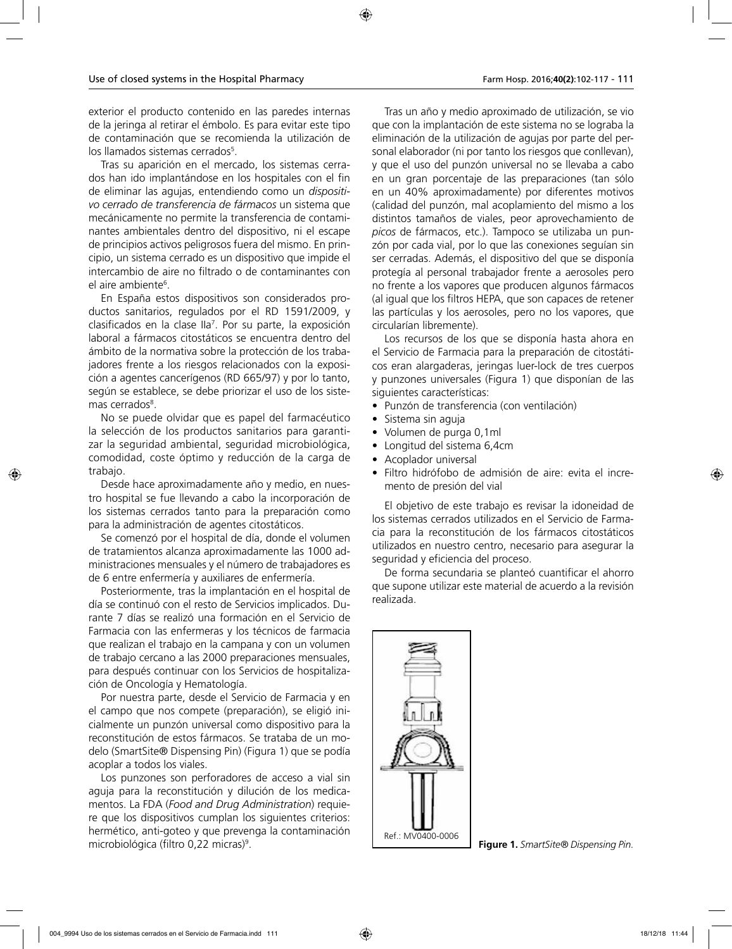exterior el producto contenido en las paredes internas de la jeringa al retirar el émbolo. Es para evitar este tipo de contaminación que se recomienda la utilización de los llamados sistemas cerrados<sup>5</sup>.

Tras su aparición en el mercado, los sistemas cerrados han ido implantándose en los hospitales con el fin de eliminar las agujas, entendiendo como un *dispositivo cerrado de transferencia de fármacos* un sistema que mecánicamente no permite la transferencia de contaminantes ambientales dentro del dispositivo, ni el escape de principios activos peligrosos fuera del mismo. En principio, un sistema cerrado es un dispositivo que impide el intercambio de aire no filtrado o de contaminantes con el aire ambiente<sup>6</sup>.

En España estos dispositivos son considerados productos sanitarios, regulados por el RD 1591/2009, y clasificados en la clase IIa7 . Por su parte, la exposición laboral a fármacos citostáticos se encuentra dentro del ámbito de la normativa sobre la protección de los trabajadores frente a los riesgos relacionados con la exposición a agentes cancerígenos (RD 665/97) y por lo tanto, según se establece, se debe priorizar el uso de los sistemas cerrados<sup>8</sup>.

No se puede olvidar que es papel del farmacéutico la selección de los productos sanitarios para garantizar la seguridad ambiental, seguridad microbiológica, comodidad, coste óptimo y reducción de la carga de trabajo.

Desde hace aproximadamente año y medio, en nuestro hospital se fue llevando a cabo la incorporación de los sistemas cerrados tanto para la preparación como para la administración de agentes citostáticos.

Se comenzó por el hospital de día, donde el volumen de tratamientos alcanza aproximadamente las 1000 administraciones mensuales y el número de trabajadores es de 6 entre enfermería y auxiliares de enfermería.

Posteriormente, tras la implantación en el hospital de día se continuó con el resto de Servicios implicados. Durante 7 días se realizó una formación en el Servicio de Farmacia con las enfermeras y los técnicos de farmacia que realizan el trabajo en la campana y con un volumen de trabajo cercano a las 2000 preparaciones mensuales, para después continuar con los Servicios de hospitalización de Oncología y Hematología.

Por nuestra parte, desde el Servicio de Farmacia y en el campo que nos compete (preparación), se eligió inicialmente un punzón universal como dispositivo para la reconstitución de estos fármacos. Se trataba de un modelo (SmartSite® Dispensing Pin) (Figura 1) que se podía acoplar a todos los viales.

Los punzones son perforadores de acceso a vial sin aguja para la reconstitución y dilución de los medicamentos. La FDA (*Food and Drug Administration*) requiere que los dispositivos cumplan los siguientes criterios: hermético, anti-goteo y que prevenga la contaminación microbiológica (filtro 0,22 micras)9 .

Tras un año y medio aproximado de utilización, se vio que con la implantación de este sistema no se lograba la eliminación de la utilización de agujas por parte del personal elaborador (ni por tanto los riesgos que conllevan), y que el uso del punzón universal no se llevaba a cabo en un gran porcentaje de las preparaciones (tan sólo en un 40% aproximadamente) por diferentes motivos (calidad del punzón, mal acoplamiento del mismo a los distintos tamaños de viales, peor aprovechamiento de *picos* de fármacos, etc.). Tampoco se utilizaba un punzón por cada vial, por lo que las conexiones seguían sin ser cerradas. Además, el dispositivo del que se disponía protegía al personal trabajador frente a aerosoles pero no frente a los vapores que producen algunos fármacos (al igual que los filtros HEPA, que son capaces de retener las partículas y los aerosoles, pero no los vapores, que circularían libremente).

Los recursos de los que se disponía hasta ahora en el Servicio de Farmacia para la preparación de citostáticos eran alargaderas, jeringas luer-lock de tres cuerpos y punzones universales (Figura 1) que disponían de las siguientes características:

- Punzón de transferencia (con ventilación)
- Sistema sin aguja
- Volumen de purga 0,1ml
- Longitud del sistema 6,4cm
- Acoplador universal
- Filtro hidrófobo de admisión de aire: evita el incremento de presión del vial

El objetivo de este trabajo es revisar la idoneidad de los sistemas cerrados utilizados en el Servicio de Farmacia para la reconstitución de los fármacos citostáticos utilizados en nuestro centro, necesario para asegurar la seguridad y eficiencia del proceso.

De forma secundaria se planteó cuantificar el ahorro que supone utilizar este material de acuerdo a la revisión realizada.



**Figure 1.** *SmartSite® Dispensing Pin.*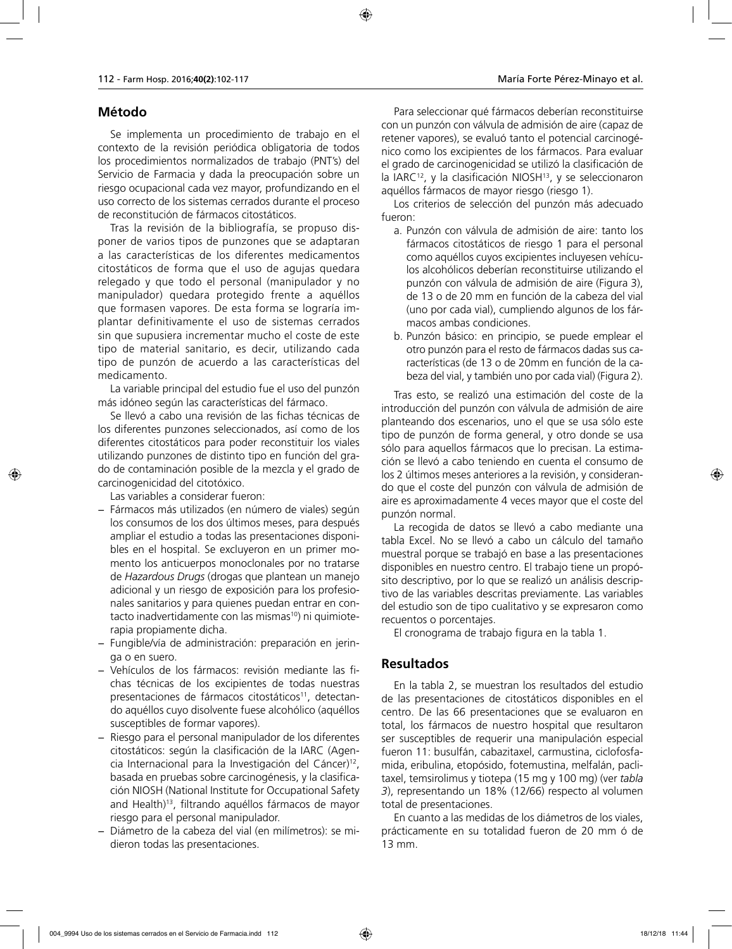# **Método**

Se implementa un procedimiento de trabajo en el contexto de la revisión periódica obligatoria de todos los procedimientos normalizados de trabajo (PNT's) del Servicio de Farmacia y dada la preocupación sobre un riesgo ocupacional cada vez mayor, profundizando en el uso correcto de los sistemas cerrados durante el proceso de reconstitución de fármacos citostáticos.

Tras la revisión de la bibliografía, se propuso disponer de varios tipos de punzones que se adaptaran a las características de los diferentes medicamentos citostáticos de forma que el uso de agujas quedara relegado y que todo el personal (manipulador y no manipulador) quedara protegido frente a aquéllos que formasen vapores. De esta forma se lograría implantar definitivamente el uso de sistemas cerrados sin que supusiera incrementar mucho el coste de este tipo de material sanitario, es decir, utilizando cada tipo de punzón de acuerdo a las características del medicamento.

La variable principal del estudio fue el uso del punzón más idóneo según las características del fármaco.

Se llevó a cabo una revisión de las fichas técnicas de los diferentes punzones seleccionados, así como de los diferentes citostáticos para poder reconstituir los viales utilizando punzones de distinto tipo en función del grado de contaminación posible de la mezcla y el grado de carcinogenicidad del citotóxico.

Las variables a considerar fueron:

- − Fármacos más utilizados (en número de viales) según los consumos de los dos últimos meses, para después ampliar el estudio a todas las presentaciones disponibles en el hospital. Se excluyeron en un primer momento los anticuerpos monoclonales por no tratarse de *Hazardous Drugs* (drogas que plantean un manejo adicional y un riesgo de exposición para los profesionales sanitarios y para quienes puedan entrar en contacto inadvertidamente con las mismas<sup>10</sup>) ni quimioterapia propiamente dicha.
- − Fungible/vía de administración: preparación en jeringa o en suero.
- − Vehículos de los fármacos: revisión mediante las fichas técnicas de los excipientes de todas nuestras presentaciones de fármacos citostáticos<sup>11</sup>, detectando aquéllos cuyo disolvente fuese alcohólico (aquéllos susceptibles de formar vapores).
- − Riesgo para el personal manipulador de los diferentes citostáticos: según la clasificación de la IARC (Agencia Internacional para la Investigación del Cáncer)12, basada en pruebas sobre carcinogénesis, y la clasificación NIOSH (National Institute for Occupational Safety and Health)<sup>13</sup>, filtrando aquéllos fármacos de mayor riesgo para el personal manipulador.
- − Diámetro de la cabeza del vial (en milímetros): se midieron todas las presentaciones.

Para seleccionar qué fármacos deberían reconstituirse con un punzón con válvula de admisión de aire (capaz de retener vapores), se evaluó tanto el potencial carcinogénico como los excipientes de los fármacos. Para evaluar el grado de carcinogenicidad se utilizó la clasificación de la IARC<sup>12</sup>, y la clasificación NIOSH<sup>13</sup>, y se seleccionaron aquéllos fármacos de mayor riesgo (riesgo 1).

Los criterios de selección del punzón más adecuado fueron:

- a. Punzón con válvula de admisión de aire: tanto los fármacos citostáticos de riesgo 1 para el personal como aquéllos cuyos excipientes incluyesen vehículos alcohólicos deberían reconstituirse utilizando el punzón con válvula de admisión de aire (Figura 3), de 13 o de 20 mm en función de la cabeza del vial (uno por cada vial), cumpliendo algunos de los fármacos ambas condiciones.
- b. Punzón básico: en principio, se puede emplear el otro punzón para el resto de fármacos dadas sus características (de 13 o de 20mm en función de la cabeza del vial, y también uno por cada vial) (Figura 2).

Tras esto, se realizó una estimación del coste de la introducción del punzón con válvula de admisión de aire planteando dos escenarios, uno el que se usa sólo este tipo de punzón de forma general, y otro donde se usa sólo para aquellos fármacos que lo precisan. La estimación se llevó a cabo teniendo en cuenta el consumo de los 2 últimos meses anteriores a la revisión, y considerando que el coste del punzón con válvula de admisión de aire es aproximadamente 4 veces mayor que el coste del punzón normal.

La recogida de datos se llevó a cabo mediante una tabla Excel. No se llevó a cabo un cálculo del tamaño muestral porque se trabajó en base a las presentaciones disponibles en nuestro centro. El trabajo tiene un propósito descriptivo, por lo que se realizó un análisis descriptivo de las variables descritas previamente. Las variables del estudio son de tipo cualitativo y se expresaron como recuentos o porcentajes.

El cronograma de trabajo figura en la tabla 1.

# **Resultados**

En la tabla 2, se muestran los resultados del estudio de las presentaciones de citostáticos disponibles en el centro. De las 66 presentaciones que se evaluaron en total, los fármacos de nuestro hospital que resultaron ser susceptibles de requerir una manipulación especial fueron 11: busulfán, cabazitaxel, carmustina, ciclofosfamida, eribulina, etopósido, fotemustina, melfalán, paclitaxel, temsirolimus y tiotepa (15 mg y 100 mg) (ver *tabla 3*), representando un 18% (12/66) respecto al volumen total de presentaciones.

En cuanto a las medidas de los diámetros de los viales, prácticamente en su totalidad fueron de 20 mm ó de 13 mm.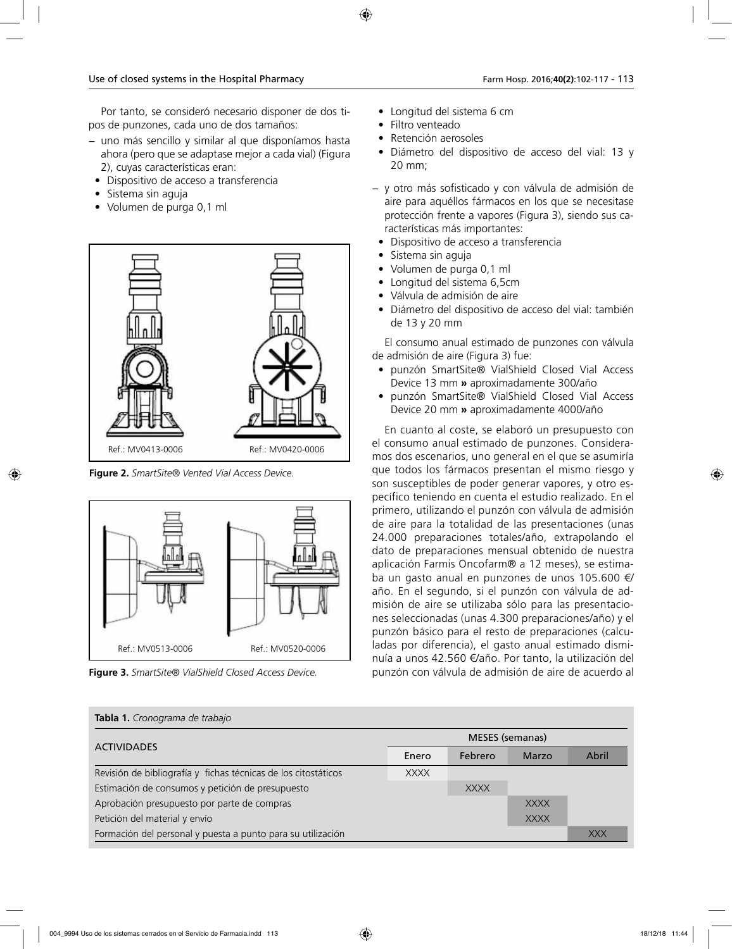Por tanto, se consideró necesario disponer de dos tipos de punzones, cada uno de dos tamaños:

- − uno más sencillo y similar al que disponíamos hasta ahora (pero que se adaptase mejor a cada vial) (Figura 2), cuyas características eran:
	- Dispositivo de acceso a transferencia
	- Sistema sin aguja
	- Volumen de purga 0,1 ml



**Figure 2.** *SmartSite® Vented Vial Access Device.*





- Longitud del sistema 6 cm
- Filtro venteado
- Retención aerosoles
- Diámetro del dispositivo de acceso del vial: 13 y 20 mm;
- − y otro más sofisticado y con válvula de admisión de aire para aquéllos fármacos en los que se necesitase protección frente a vapores (Figura 3), siendo sus características más importantes:
	- Dispositivo de acceso a transferencia
	- Sistema sin aguja
- Volumen de purga 0,1 ml
- Longitud del sistema 6,5cm
- Válvula de admisión de aire
- Diámetro del dispositivo de acceso del vial: también de 13 y 20 mm

El consumo anual estimado de punzones con válvula de admisión de aire (Figura 3) fue:

- punzón SmartSite® VialShield Closed Vial Access Device 13 mm **»** aproximadamente 300/año
- punzón SmartSite® VialShield Closed Vial Access Device 20 mm **»** aproximadamente 4000/año

En cuanto al coste, se elaboró un presupuesto con el consumo anual estimado de punzones. Consideramos dos escenarios, uno general en el que se asumiría que todos los fármacos presentan el mismo riesgo y son susceptibles de poder generar vapores, y otro específico teniendo en cuenta el estudio realizado. En el primero, utilizando el punzón con válvula de admisión de aire para la totalidad de las presentaciones (unas 24.000 preparaciones totales/año, extrapolando el dato de preparaciones mensual obtenido de nuestra aplicación Farmis Oncofarm® a 12 meses), se estimaba un gasto anual en punzones de unos 105.600 €/ año. En el segundo, si el punzón con válvula de admisión de aire se utilizaba sólo para las presentaciones seleccionadas (unas 4.300 preparaciones/año) y el punzón básico para el resto de preparaciones (calculadas por diferencia), el gasto anual estimado disminuía a unos 42.560 €/año. Por tanto, la utilización del **Figure 3.** *SmartSite® VialShield Closed Access Device.* punzón con válvula de admisión de aire de acuerdo al

| <b>Tabla 1.</b> Cronograma de trabajo                          |                        |             |             |            |  |
|----------------------------------------------------------------|------------------------|-------------|-------------|------------|--|
|                                                                | <b>MESES</b> (semanas) |             |             |            |  |
| <b>ACTIVIDADES</b>                                             | Enero                  | Febrero     | Marzo       | Abril      |  |
| Revisión de bibliografía y fichas técnicas de los citostáticos | <b>XXXX</b>            |             |             |            |  |
| Estimación de consumos y petición de presupuesto               |                        | <b>XXXX</b> |             |            |  |
| Aprobación presupuesto por parte de compras                    |                        |             | <b>XXXX</b> |            |  |
| Petición del material y envío                                  |                        |             | <b>XXXX</b> |            |  |
| Formación del personal y puesta a punto para su utilización    |                        |             |             | <b>XXX</b> |  |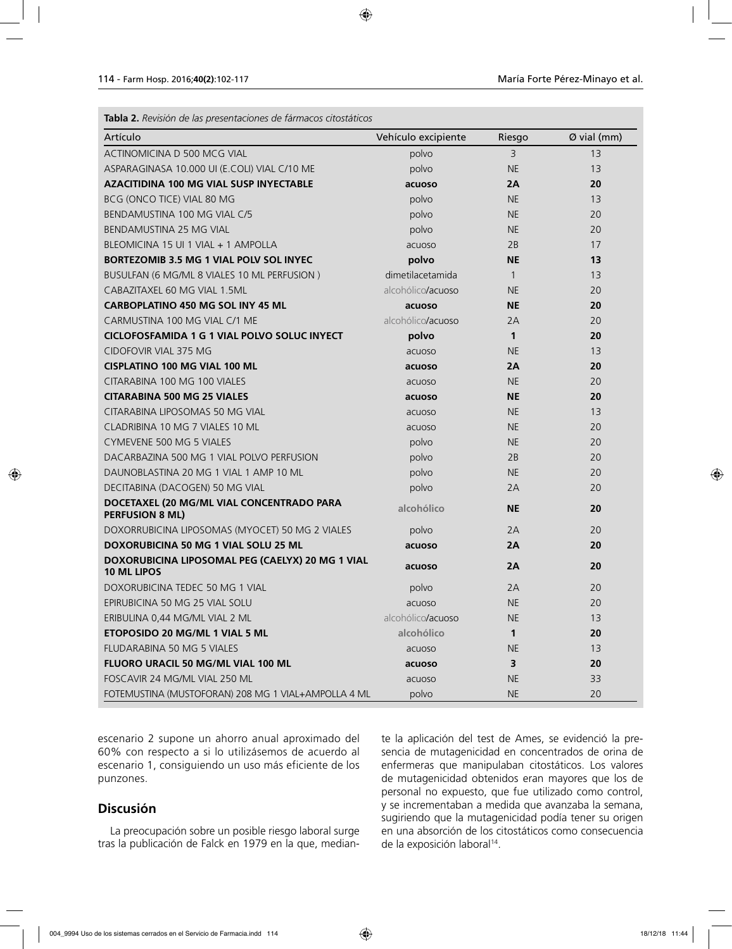| Tabla 2. Revisión de las presentaciones de fármacos citostáticos       |                     |                |             |  |
|------------------------------------------------------------------------|---------------------|----------------|-------------|--|
| Artículo                                                               | Vehículo excipiente | Riesgo         | Ø vial (mm) |  |
| ACTINOMICINA D 500 MCG VIAL                                            | polvo               | $\overline{3}$ | 13          |  |
| ASPARAGINASA 10.000 UI (E.COLI) VIAL C/10 ME                           | polvo               | <b>NE</b>      | 13          |  |
| <b>AZACITIDINA 100 MG VIAL SUSP INYECTABLE</b>                         | acuoso              | 2A             | 20          |  |
| BCG (ONCO TICE) VIAL 80 MG                                             | polvo               | <b>NE</b>      | 13          |  |
| BENDAMUSTINA 100 MG VIAL C/5                                           | polvo               | <b>NE</b>      | 20          |  |
| BENDAMUSTINA 25 MG VIAL                                                | polvo               | <b>NE</b>      | 20          |  |
| BLEOMICINA 15 UI 1 VIAL + 1 AMPOLLA                                    | acuoso              | 2B             | 17          |  |
| BORTEZOMIB 3.5 MG 1 VIAL POLV SOL INYEC                                | polvo               | <b>NE</b>      | 13          |  |
| BUSULFAN (6 MG/ML 8 VIALES 10 ML PERFUSION)                            | dimetilacetamida    | $\mathbf{1}$   | 13          |  |
| CABAZITAXEL 60 MG VIAL 1.5ML                                           | alcohólico/acuoso   | <b>NE</b>      | 20          |  |
| <b>CARBOPLATINO 450 MG SOL INY 45 ML</b>                               | acuoso              | <b>NE</b>      | 20          |  |
| CARMUSTINA 100 MG VIAL C/1 ME                                          | alcohólico/acuoso   | 2A             | 20          |  |
| <b>CICLOFOSFAMIDA 1 G 1 VIAL POLVO SOLUC INYECT</b>                    | polvo               | $\mathbf{1}$   | 20          |  |
| CIDOFOVIR VIAL 375 MG                                                  | acuoso              | <b>NE</b>      | 13          |  |
| <b>CISPLATINO 100 MG VIAL 100 ML</b>                                   | acuoso              | 2A             | 20          |  |
| CITARABINA 100 MG 100 VIALES                                           | acuoso              | <b>NE</b>      | 20          |  |
| <b>CITARABINA 500 MG 25 VIALES</b>                                     | acuoso              | <b>NE</b>      | 20          |  |
| CITARABINA LIPOSOMAS 50 MG VIAL                                        | acuoso              | <b>NE</b>      | 13          |  |
| CLADRIBINA 10 MG 7 VIALES 10 ML                                        | acuoso              | <b>NE</b>      | 20          |  |
| <b>CYMEVENE 500 MG 5 VIALES</b>                                        | polvo               | <b>NE</b>      | 20          |  |
| DACARBAZINA 500 MG 1 VIAL POLVO PERFUSION                              | polvo               | 2B             | 20          |  |
| DAUNOBLASTINA 20 MG 1 VIAL 1 AMP 10 ML                                 | polvo               | <b>NE</b>      | 20          |  |
| DECITABINA (DACOGEN) 50 MG VIAL                                        | polvo               | 2A             | 20          |  |
| DOCETAXEL (20 MG/ML VIAL CONCENTRADO PARA<br><b>PERFUSION 8 ML)</b>    | alcohólico          | <b>NE</b>      | 20          |  |
| DOXORRUBICINA LIPOSOMAS (MYOCET) 50 MG 2 VIALES                        | polvo               | 2A             | 20          |  |
| <b>DOXORUBICINA 50 MG 1 VIAL SOLU 25 ML</b>                            | acuoso              | 2A             | 20          |  |
| DOXORUBICINA LIPOSOMAL PEG (CAELYX) 20 MG 1 VIAL<br><b>10 ML LIPOS</b> | acuoso              | 2A             | 20          |  |
| DOXORUBICINA TEDEC 50 MG 1 VIAL                                        | polvo               | 2A             | 20          |  |
| EPIRUBICINA 50 MG 25 VIAL SOLU                                         | acuoso              | $\sf NE$       | 20          |  |
| ERIBULINA 0,44 MG/ML VIAL 2 ML                                         | alcohólico/acuoso   | <b>NE</b>      | 13          |  |
| ETOPOSIDO 20 MG/ML 1 VIAL 5 ML                                         | alcohólico          | $\mathbf{1}$   | 20          |  |
| FLUDARABINA 50 MG 5 VIALES                                             | acuoso              | <b>NE</b>      | 13          |  |
| FLUORO URACIL 50 MG/ML VIAL 100 ML                                     | acuoso              | 3              | 20          |  |
| FOSCAVIR 24 MG/ML VIAL 250 ML                                          | acuoso              | <b>NE</b>      | 33          |  |
| FOTEMUSTINA (MUSTOFORAN) 208 MG 1 VIAL+AMPOLLA 4 ML                    | polvo               | <b>NE</b>      | 20          |  |

escenario 2 supone un ahorro anual aproximado del 60% con respecto a si lo utilizásemos de acuerdo al escenario 1, consiguiendo un uso más eficiente de los punzones.

# **Discusión**

La preocupación sobre un posible riesgo laboral surge tras la publicación de Falck en 1979 en la que, mediante la aplicación del test de Ames, se evidenció la presencia de mutagenicidad en concentrados de orina de enfermeras que manipulaban citostáticos. Los valores de mutagenicidad obtenidos eran mayores que los de personal no expuesto, que fue utilizado como control, y se incrementaban a medida que avanzaba la semana, sugiriendo que la mutagenicidad podía tener su origen en una absorción de los citostáticos como consecuencia de la exposición laboral<sup>14</sup>.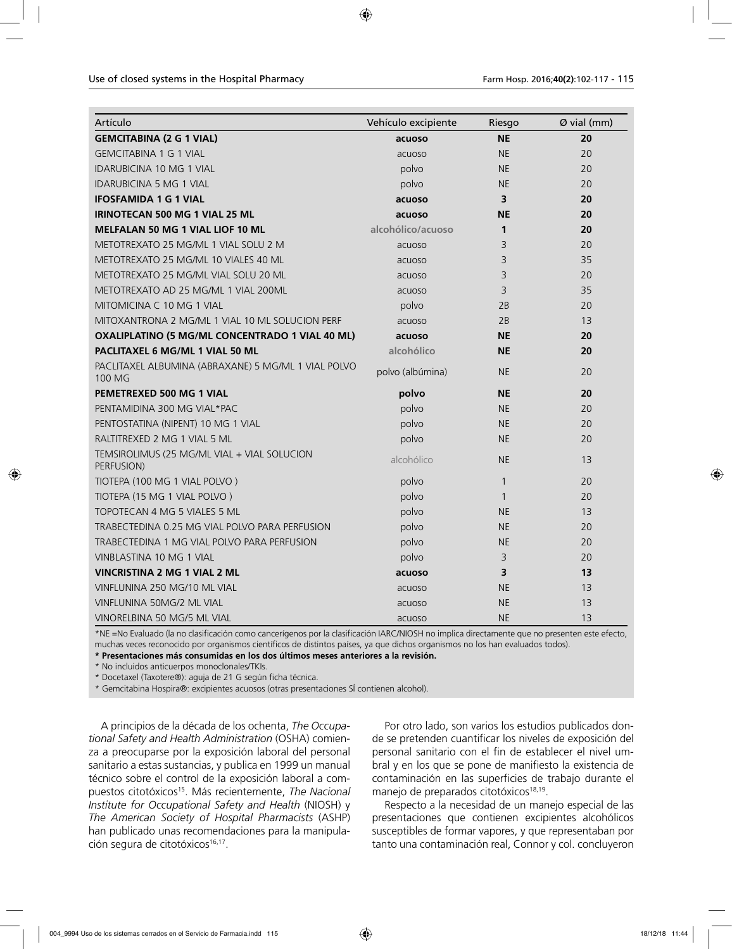| Artículo                                                      | Vehículo excipiente | Riesgo       | Ø vial (mm) |
|---------------------------------------------------------------|---------------------|--------------|-------------|
| <b>GEMCITABINA (2 G 1 VIAL)</b>                               | acuoso              | <b>NE</b>    | 20          |
| <b>GEMCITABINA 1 G 1 VIAL</b>                                 | acuoso              | <b>NE</b>    | 20          |
| <b>IDARUBICINA 10 MG 1 VIAL</b>                               | polvo               | <b>NE</b>    | 20          |
| <b>IDARUBICINA 5 MG 1 VIAL</b>                                | polvo               | <b>NE</b>    | 20          |
| <b>IFOSFAMIDA 1 G 1 VIAL</b>                                  | acuoso              | 3            | 20          |
| <b>IRINOTECAN 500 MG 1 VIAL 25 ML</b>                         | acuoso              | <b>NE</b>    | 20          |
| <b>MELFALAN 50 MG 1 VIAL LIOF 10 ML</b>                       | alcohólico/acuoso   | 1            | 20          |
| METOTREXATO 25 MG/ML 1 VIAL SOLU 2 M                          | acuoso              | 3            | 20          |
| METOTREXATO 25 MG/ML 10 VIALES 40 ML                          | acuoso              | 3            | 35          |
| METOTREXATO 25 MG/ML VIAL SOLU 20 ML                          | acuoso              | 3            | 20          |
| METOTREXATO AD 25 MG/ML 1 VIAL 200ML                          | acuoso              | 3            | 35          |
| MITOMICINA C 10 MG 1 VIAL                                     | polvo               | 2B           | 20          |
| MITOXANTRONA 2 MG/ML 1 VIAL 10 ML SOLUCION PERF               | acuoso              | 2B           | 13          |
| OXALIPLATINO (5 MG/ML CONCENTRADO 1 VIAL 40 ML)               | acuoso              | <b>NE</b>    | 20          |
| PACLITAXEL 6 MG/ML 1 VIAL 50 ML                               | alcohólico          | <b>NE</b>    | 20          |
| PACLITAXEL ALBUMINA (ABRAXANE) 5 MG/ML 1 VIAL POLVO<br>100 MG | polvo (albúmina)    | NE.          | 20          |
| PEMETREXED 500 MG 1 VIAL                                      | polvo               | <b>NE</b>    | 20          |
| PENTAMIDINA 300 MG VIAL*PAC                                   | polvo               | <b>NE</b>    | 20          |
| PENTOSTATINA (NIPENT) 10 MG 1 VIAL                            | polvo               | <b>NE</b>    | 20          |
| RALTITREXED 2 MG 1 VIAL 5 ML                                  | polvo               | <b>NE</b>    | 20          |
| TEMSIROLIMUS (25 MG/ML VIAL + VIAL SOLUCION<br>PERFUSION)     | alcohólico          | <b>NE</b>    | 13          |
| TIOTEPA (100 MG 1 VIAL POLVO)                                 | polvo               | $\mathbf{1}$ | 20          |
| TIOTEPA (15 MG 1 VIAL POLVO)                                  | polvo               | $\mathbf{1}$ | 20          |
| TOPOTECAN 4 MG 5 VIALES 5 ML                                  | polvo               | <b>NE</b>    | 13          |
| TRABECTEDINA 0.25 MG VIAL POLVO PARA PERFUSION                | polvo               | <b>NE</b>    | 20          |
| TRABECTEDINA 1 MG VIAL POLVO PARA PERFUSION                   | polvo               | NE.          | 20          |
| VINBLASTINA 10 MG 1 VIAL                                      | polvo               | 3            | 20          |
| <b>VINCRISTINA 2 MG 1 VIAL 2 ML</b>                           | acuoso              | 3            | 13          |
| VINFLUNINA 250 MG/10 ML VIAL                                  | acuoso              | <b>NE</b>    | 13          |
| VINFLUNINA 50MG/2 ML VIAL                                     | acuoso              | <b>NE</b>    | 13          |
| VINORELBINA 50 MG/5 ML VIAL                                   | acuoso              | <b>NE</b>    | 13          |

\*NE =No Evaluado (la no clasificación como cancerígenos por la clasificación IARC/NIOSH no implica directamente que no presenten este efecto, muchas veces reconocido por organismos científicos de distintos países, ya que dichos organismos no los han evaluados todos).

**\* Presentaciones más consumidas en los dos últimos meses anteriores a la revisión.** 

\* No incluidos anticuerpos monoclonales/TKIs.

\* Docetaxel (Taxotere®): aguja de 21 G según ficha técnica.

\* Gemcitabina Hospira®: excipientes acuosos (otras presentaciones SÍ contienen alcohol).

A principios de la década de los ochenta, *The Occupational Safety and Health Administration* (OSHA) comienza a preocuparse por la exposición laboral del personal sanitario a estas sustancias, y publica en 1999 un manual técnico sobre el control de la exposición laboral a compuestos citotóxicos<sup>15</sup>. Más recientemente, *The Nacional Institute for Occupational Safety and Health* (NIOSH) y *The American Society of Hospital Pharmacists* (ASHP) han publicado unas recomendaciones para la manipulación segura de citotóxicos<sup>16,17</sup>.

Por otro lado, son varios los estudios publicados donde se pretenden cuantificar los niveles de exposición del personal sanitario con el fin de establecer el nivel umbral y en los que se pone de manifiesto la existencia de contaminación en las superficies de trabajo durante el manejo de preparados citotóxicos<sup>18,19</sup>.

Respecto a la necesidad de un manejo especial de las presentaciones que contienen excipientes alcohólicos susceptibles de formar vapores, y que representaban por tanto una contaminación real, Connor y col. concluyeron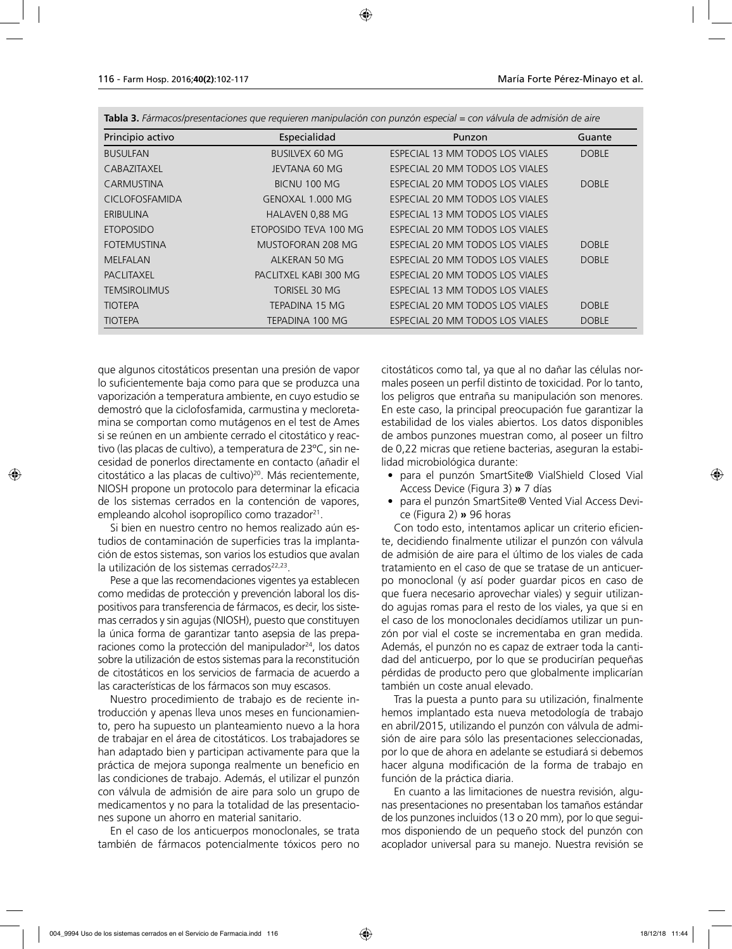| Principio activo      | Especialidad          | Punzon                          | Guante       |
|-----------------------|-----------------------|---------------------------------|--------------|
| <b>BUSULFAN</b>       | <b>BUSILVEX 60 MG</b> | ESPECIAL 13 MM TODOS LOS VIALES | <b>DOBLE</b> |
| <b>CABAZITAXEL</b>    | <b>IFVTANA 60 MG</b>  | ESPECIAL 20 MM TODOS LOS VIALES |              |
| CARMUSTINA            | BICNU 100 MG          | ESPECIAL 20 MM TODOS LOS VIALES | <b>DOBLE</b> |
| <b>CICLOFOSFAMIDA</b> | GENOXAL 1.000 MG      | ESPECIAL 20 MM TODOS LOS VIALES |              |
| ERIBULINA             | HALAVEN 0,88 MG       | ESPECIAL 13 MM TODOS LOS VIALES |              |
| <b>ETOPOSIDO</b>      | ETOPOSIDO TEVA 100 MG | ESPECIAL 20 MM TODOS LOS VIALES |              |
| <b>FOTEMUSTINA</b>    | MUSTOFORAN 208 MG     | ESPECIAL 20 MM TODOS LOS VIALES | <b>DOBLE</b> |
| <b>MELFALAN</b>       | ALKERAN 50 MG         | ESPECIAL 20 MM TODOS LOS VIALES | <b>DOBLE</b> |
| <b>PACLITAXEL</b>     | PACLITXEL KABI 300 MG | ESPECIAL 20 MM TODOS LOS VIALES |              |
| <b>TEMSIROLIMUS</b>   | TORISEL 30 MG         | ESPECIAL 13 MM TODOS LOS VIALES |              |
| <b>TIOTEPA</b>        | TEPADINA 15 MG        | ESPECIAL 20 MM TODOS LOS VIALES | <b>DOBLE</b> |
| <b>TIOTEPA</b>        | TEPADINA 100 MG       | ESPECIAL 20 MM TODOS LOS VIALES | <b>DOBLE</b> |

**Tabla 3.** *Fármacos/presentaciones que requieren manipulación con punzón especial = con válvula de admisión de aire* 

que algunos citostáticos presentan una presión de vapor lo suficientemente baja como para que se produzca una vaporización a temperatura ambiente, en cuyo estudio se demostró que la ciclofosfamida, carmustina y mecloretamina se comportan como mutágenos en el test de Ames si se reúnen en un ambiente cerrado el citostático y reactivo (las placas de cultivo), a temperatura de 23ºC, sin necesidad de ponerlos directamente en contacto (añadir el citostático a las placas de cultivo)20. Más recientemente, NIOSH propone un protocolo para determinar la eficacia de los sistemas cerrados en la contención de vapores, empleando alcohol isopropílico como trazador<sup>21</sup>.

Si bien en nuestro centro no hemos realizado aún estudios de contaminación de superficies tras la implantación de estos sistemas, son varios los estudios que avalan la utilización de los sistemas cerrados<sup>22,23</sup>.

Pese a que las recomendaciones vigentes ya establecen como medidas de protección y prevención laboral los dispositivos para transferencia de fármacos, es decir, los sistemas cerrados y sin agujas (NIOSH), puesto que constituyen la única forma de garantizar tanto asepsia de las preparaciones como la protección del manipulador<sup>24</sup>, los datos sobre la utilización de estos sistemas para la reconstitución de citostáticos en los servicios de farmacia de acuerdo a las características de los fármacos son muy escasos.

Nuestro procedimiento de trabajo es de reciente introducción y apenas lleva unos meses en funcionamiento, pero ha supuesto un planteamiento nuevo a la hora de trabajar en el área de citostáticos. Los trabajadores se han adaptado bien y participan activamente para que la práctica de mejora suponga realmente un beneficio en las condiciones de trabajo. Además, el utilizar el punzón con válvula de admisión de aire para solo un grupo de medicamentos y no para la totalidad de las presentaciones supone un ahorro en material sanitario.

En el caso de los anticuerpos monoclonales, se trata también de fármacos potencialmente tóxicos pero no citostáticos como tal, ya que al no dañar las células normales poseen un perfil distinto de toxicidad. Por lo tanto, los peligros que entraña su manipulación son menores. En este caso, la principal preocupación fue garantizar la estabilidad de los viales abiertos. Los datos disponibles de ambos punzones muestran como, al poseer un filtro de 0,22 micras que retiene bacterias, aseguran la estabilidad microbiológica durante:

- para el punzón SmartSite® VialShield Closed Vial Access Device (Figura 3) **»** 7 días
- para el punzón SmartSite® Vented Vial Access Device (Figura 2) **»** 96 horas

Con todo esto, intentamos aplicar un criterio eficiente, decidiendo finalmente utilizar el punzón con válvula de admisión de aire para el último de los viales de cada tratamiento en el caso de que se tratase de un anticuerpo monoclonal (y así poder guardar picos en caso de que fuera necesario aprovechar viales) y seguir utilizando agujas romas para el resto de los viales, ya que si en el caso de los monoclonales decidíamos utilizar un punzón por vial el coste se incrementaba en gran medida. Además, el punzón no es capaz de extraer toda la cantidad del anticuerpo, por lo que se producirían pequeñas pérdidas de producto pero que globalmente implicarían también un coste anual elevado.

Tras la puesta a punto para su utilización, finalmente hemos implantado esta nueva metodología de trabajo en abril/2015, utilizando el punzón con válvula de admisión de aire para sólo las presentaciones seleccionadas, por lo que de ahora en adelante se estudiará si debemos hacer alguna modificación de la forma de trabajo en función de la práctica diaria.

En cuanto a las limitaciones de nuestra revisión, algunas presentaciones no presentaban los tamaños estándar de los punzones incluidos (13 o 20 mm), por lo que seguimos disponiendo de un pequeño stock del punzón con acoplador universal para su manejo. Nuestra revisión se